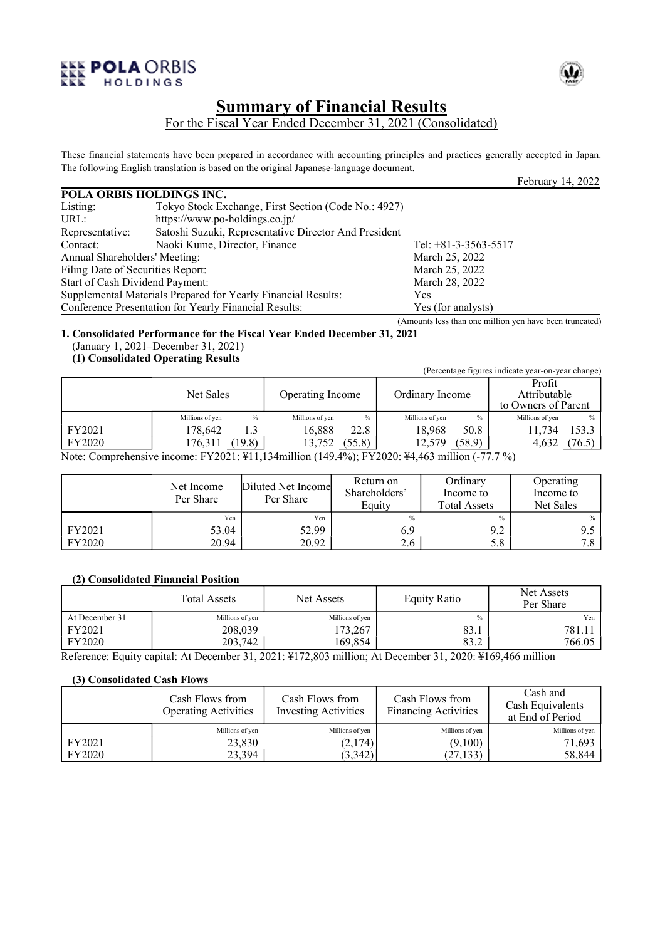



# **Summary of Financial Results** For the Fiscal Year Ended December 31, 2021 (Consolidated)

These financial statements have been prepared in accordance with accounting principles and practices generally accepted in Japan. The following English translation is based on the original Japanese-language document.

|                                   |                                                               |                        | February 14, 2022 |
|-----------------------------------|---------------------------------------------------------------|------------------------|-------------------|
| POLA ORBIS HOLDINGS INC.          |                                                               |                        |                   |
| Listing:                          | Tokyo Stock Exchange, First Section (Code No.: 4927)          |                        |                   |
| URL:                              | https://www.po-holdings.co.jp/                                |                        |                   |
| Representative:                   | Satoshi Suzuki, Representative Director And President         |                        |                   |
| Contact:                          | Naoki Kume, Director, Finance                                 | Tel: $+81-3-3563-5517$ |                   |
| Annual Shareholders' Meeting:     |                                                               | March 25, 2022         |                   |
| Filing Date of Securities Report: |                                                               | March 25, 2022         |                   |
| Start of Cash Dividend Payment:   |                                                               | March 28, 2022         |                   |
|                                   | Supplemental Materials Prepared for Yearly Financial Results: | <b>Yes</b>             |                   |
|                                   | Conference Presentation for Yearly Financial Results:         | Yes (for analysts)     |                   |

(Amounts less than one million yen have been truncated)

**1. Consolidated Performance for the Fiscal Year Ended December 31, 2021** (January 1, 2021–December 31, 2021)

# **(1) Consolidated Operating Results**

|               |                 |                  |                 | (Percentage figures indicate year-on-year change) |  |
|---------------|-----------------|------------------|-----------------|---------------------------------------------------|--|
|               | Net Sales       | Operating Income | Ordinary Income | Profit<br>Attributable<br>to Owners of Parent     |  |
|               | $\%$            | $\frac{0}{0}$    | $\frac{0}{0}$   | Millions of yen                                   |  |
|               | Millions of yen | Millions of yen  | Millions of yen | $\%$                                              |  |
| FY2021        | 178.642         | 16,888           | 18.968          | 153.3                                             |  |
|               | 1.3             | 22.8             | 50.8            | 11.734                                            |  |
| <b>FY2020</b> | (19.8)          | 13.752           | (58.9)          | 4.632                                             |  |
|               | 176.311         | (55.8)           | 12.579          | (76.5)                                            |  |

Note: Comprehensive income: FY2021: ¥11,134million (149.4%); FY2020: ¥4,463 million (-77.7 %)

|               | Net Income<br>Per Share | Diluted Net Income<br>Per Share | Return on<br>Shareholders'<br>Equity | Ordinary<br>Income to<br><b>Total Assets</b> | Operating<br>Income to<br>Net Sales |
|---------------|-------------------------|---------------------------------|--------------------------------------|----------------------------------------------|-------------------------------------|
|               | Yen                     | Yen                             | $\frac{0}{0}$                        | $\frac{0}{0}$                                | $\%$                                |
| FY2021        | 53.04                   | 52.99                           | 6.9                                  | 9.2                                          | 9.5                                 |
| <b>FY2020</b> | 20.94                   | 20.92                           | 2.6                                  | 5.8                                          | 7.8                                 |

## **(2) Consolidated Financial Position**

|                | <b>Total Assets</b> | Net Assets      | <b>Equity Ratio</b> | Net Assets<br>Per Share |
|----------------|---------------------|-----------------|---------------------|-------------------------|
| At December 31 | Millions of yen     | Millions of yen | $\%$                | Yen                     |
| FY2021         | 208,039             | 173,267         | 83.1                | 781.1                   |
| <b>FY2020</b>  | 203,742             | 169,854         | 83.2                | 766.05                  |

Reference: Equity capital: At December 31, 2021: ¥172,803 million; At December 31, 2020: ¥169,466 million

## **(3) Consolidated Cash Flows**

|               | Cash Flows from<br><b>Operating Activities</b> | Cash Flows from<br><b>Investing Activities</b> | Cash Flows from<br><b>Financing Activities</b> | Cash and<br>Cash Equivalents<br>at End of Period |
|---------------|------------------------------------------------|------------------------------------------------|------------------------------------------------|--------------------------------------------------|
|               | Millions of yen                                | Millions of yen                                | Millions of yen                                | Millions of yen                                  |
| FY2021        | 23,830                                         | (2,174)                                        | (9,100)                                        | 71,693                                           |
| <b>FY2020</b> | 23.394                                         | (3.342)                                        | (27, 133)                                      | 58,844                                           |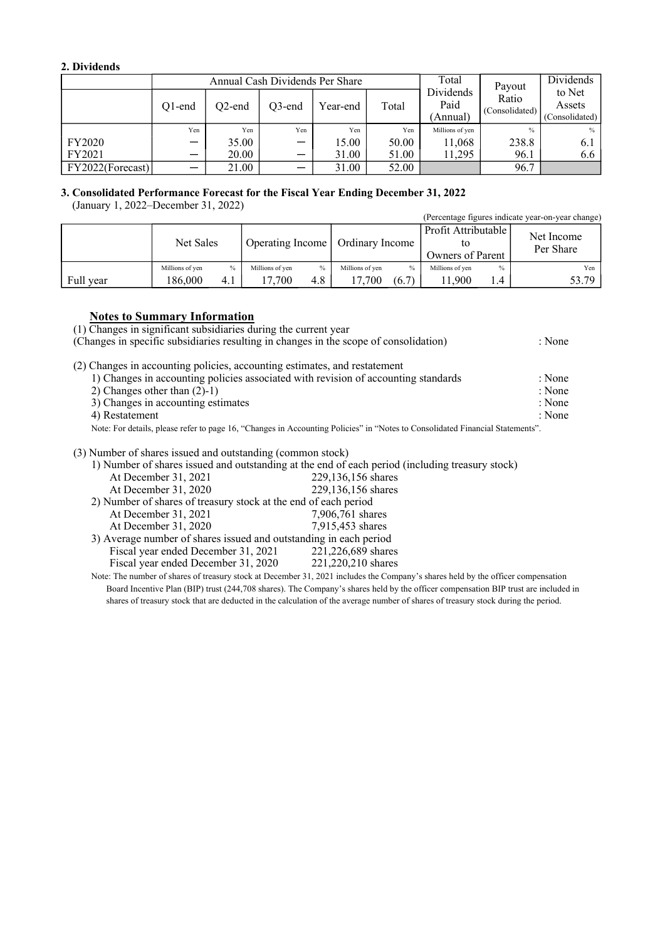# **2. Dividends**

|                  | Annual Cash Dividends Per Share |           |           |          |       | Total                         | Payout                  | Dividends                          |
|------------------|---------------------------------|-----------|-----------|----------|-------|-------------------------------|-------------------------|------------------------------------|
|                  | $O1$ -end                       | $O2$ -end | $O3$ -end | Year-end | Total | Dividends<br>Paid<br>(Annual) | Ratio<br>(Consolidated) | to Net<br>Assets<br>(Consolidated) |
|                  | Yen                             | Yen       | Yen       | Yen      | Yen   | Millions of yen               | $\frac{0}{0}$           | $\%$                               |
| FY2020           | -                               | 35.00     | —         | 15.00    | 50.00 | 11.068                        | 238.8                   | 6.1                                |
| FY2021           | —                               | 20.00     |           | 31.00    | 51.00 | 11.295                        | 96.1                    | 6.6                                |
| FY2022(Forecast) |                                 | 21.00     |           | 31.00    | 52.00 |                               | 96.7                    |                                    |

# **3. Consolidated Performance Forecast for the Fiscal Year Ending December 31, 2022**

(January 1, 2022–December 31, 2022)

| $\mu_{\text{full}}$ (January 1, 2022–December 31, 2022) |                 |      |                                    |      |                 |       |                                         |      | (Percentage figures indicate year-on-year change) |
|---------------------------------------------------------|-----------------|------|------------------------------------|------|-----------------|-------|-----------------------------------------|------|---------------------------------------------------|
|                                                         | Net Sales       |      | Operating Income   Ordinary Income |      |                 |       | Profit Attributable<br>Owners of Parent |      | Net Income<br>Per Share                           |
|                                                         | Millions of yen | $\%$ | Millions of yen                    | $\%$ | Millions of yen | $\%$  | Millions of yen                         | $\%$ | Yen                                               |
| Full year                                               | 186.000         | 4.1  | 17.700                             | 4.8  | 17.700          | (6.7) | 11.900                                  | 1.4  | 53.79                                             |

# **Notes to Summary Information**

(1) Changes in significant subsidiaries during the current year

| (Changes in specific subsidiaries resulting in changes in the scope of consolidation)                                         | : None |
|-------------------------------------------------------------------------------------------------------------------------------|--------|
| (2) Changes in accounting policies, accounting estimates, and restatement                                                     |        |
| 1) Changes in accounting policies associated with revision of accounting standards                                            | : None |
| 2) Changes other than $(2)-1$ )                                                                                               | : None |
| 3) Changes in accounting estimates                                                                                            | : None |
| 4) Restatement                                                                                                                | : None |
| Note: For details, please refer to page 16, "Changes in Accounting Policies" in "Notes to Consolidated Financial Statements". |        |
| (3) Number of shares issued and outstanding (common stock)                                                                    |        |
| 1) Number of shares issued and outstanding at the end of each period (including treasury stock)                               |        |

|                                                                   | 1) Number of shares issued and outstanding at the end of each period (including treasury stock)                                  |
|-------------------------------------------------------------------|----------------------------------------------------------------------------------------------------------------------------------|
| At December 31, 2021                                              | 229,136,156 shares                                                                                                               |
| At December 31, 2020                                              | 229,136,156 shares                                                                                                               |
| 2) Number of shares of treasury stock at the end of each period   |                                                                                                                                  |
| At December 31, 2021                                              | 7,906,761 shares                                                                                                                 |
| At December 31, 2020                                              | 7.915.453 shares                                                                                                                 |
| 3) Average number of shares issued and outstanding in each period |                                                                                                                                  |
| Fiscal year ended December 31, 2021                               | 221,226,689 shares                                                                                                               |
| Fiscal year ended December 31, 2020                               | 221,220,210 shares                                                                                                               |
|                                                                   | Note: The number of shares of treasury stock at December 31, 2021 includes the Company's shares held by the officer compensation |
|                                                                   |                                                                                                                                  |

Board Incentive Plan (BIP) trust (244,708 shares). The Company's shares held by the officer compensation BIP trust are included in shares of treasury stock that are deducted in the calculation of the average number of shares of treasury stock during the period.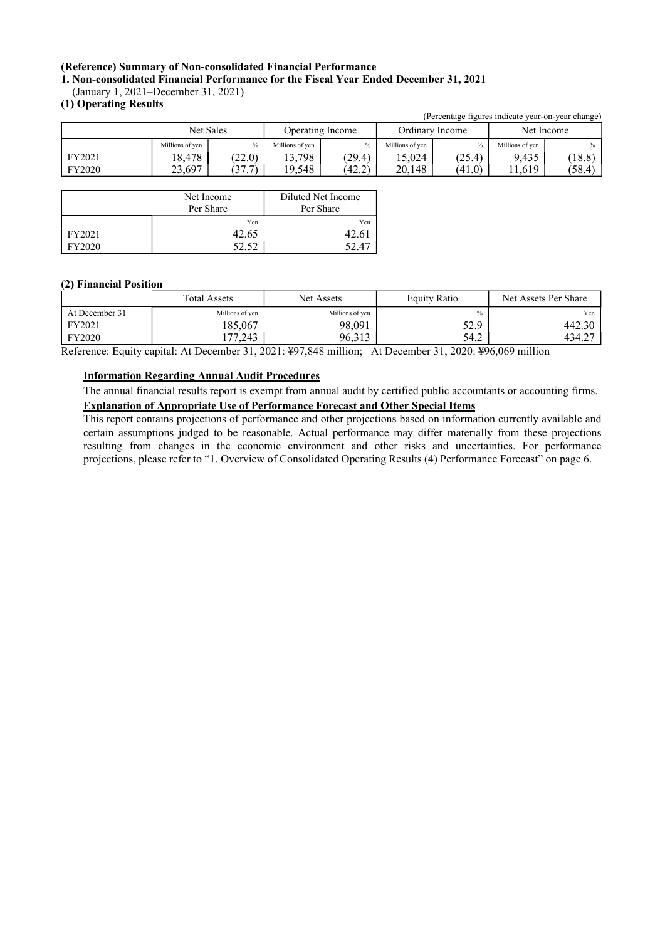# **(Reference) Summary of Non-consolidated Financial Performance**

**1. Non-consolidated Financial Performance for the Fiscal Year Ended December 31, 2021**

(January 1, 2021–December 31, 2021)

## **(1) Operating Results**

|        |                 |           |                 |                  |                 |                 | (Percentage figures indicate year-on-year change) |               |  |
|--------|-----------------|-----------|-----------------|------------------|-----------------|-----------------|---------------------------------------------------|---------------|--|
|        |                 | Net Sales |                 | Operating Income |                 | Ordinary Income |                                                   | Net Income    |  |
|        | Millions of yen |           | Millions of yen | $\%$             | Millions of yen | $\%$            | Millions of yen                                   | $\frac{0}{0}$ |  |
| FY2021 | 18.478          | (22.0)    | 13.798          | (29.4)           | 15.024          | (25.4)          | 9.435                                             | (18.8)        |  |
| FY2020 | 23.697          | (37.7)    | 19.548          | (42.2)           | 20,148          | (41.0)          | 11.619                                            | (58.4)        |  |
|        |                 |           |                 |                  |                 |                 |                                                   |               |  |

|        | Net Income | Diluted Net Income |  |
|--------|------------|--------------------|--|
|        | Per Share  | Per Share          |  |
|        | Yen        | Yen                |  |
| FY2021 | 42.65      |                    |  |
| FY2020 |            |                    |  |

## **(2) Financial Position**

|                | <b>Total Assets</b> | <b>Net Assets</b> | <b>Equity Ratio</b> | Net Assets Per Share |
|----------------|---------------------|-------------------|---------------------|----------------------|
| At December 31 | Millions of yen     | Millions of yen   | $\%$                | Yen                  |
| FY2021         | 185.067             | 98,091            | 52.9                | 442.30               |
| FY2020         | .77.243             | 96.313            | 54.2                | 434.27               |

Reference: Equity capital: At December 31, 2021: ¥97,848 million; At December 31, 2020: ¥96,069 million

## **Information Regarding Annual Audit Procedures**

The annual financial results report is exempt from annual audit by certified public accountants or accounting firms. **Explanation of Appropriate Use of Performance Forecast and Other Special Items**

This report contains projections of performance and other projections based on information currently available and certain assumptions judged to be reasonable. Actual performance may differ materially from these projections resulting from changes in the economic environment and other risks and uncertainties. For performance projections, please refer to "1. Overview of Consolidated Operating Results (4) Performance Forecast" on page 6.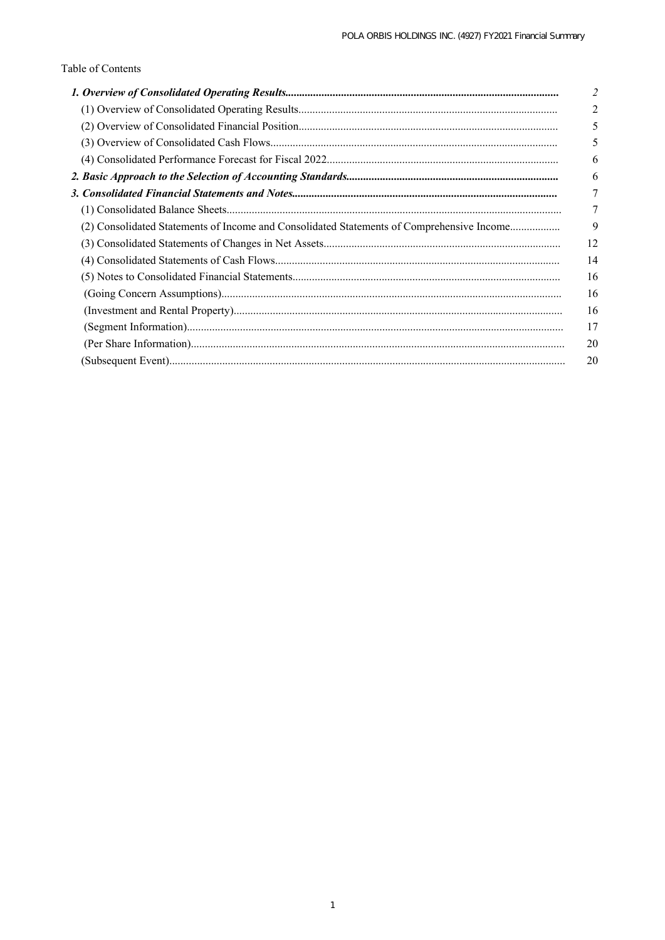# Table of Contents

|                                                                                           | 5  |
|-------------------------------------------------------------------------------------------|----|
|                                                                                           | 5  |
|                                                                                           | 6  |
|                                                                                           |    |
|                                                                                           |    |
|                                                                                           |    |
| (2) Consolidated Statements of Income and Consolidated Statements of Comprehensive Income | 9  |
|                                                                                           | 12 |
|                                                                                           | 14 |
|                                                                                           | 16 |
|                                                                                           | 16 |
|                                                                                           | 16 |
|                                                                                           | 17 |
|                                                                                           | 20 |
|                                                                                           | 20 |
|                                                                                           |    |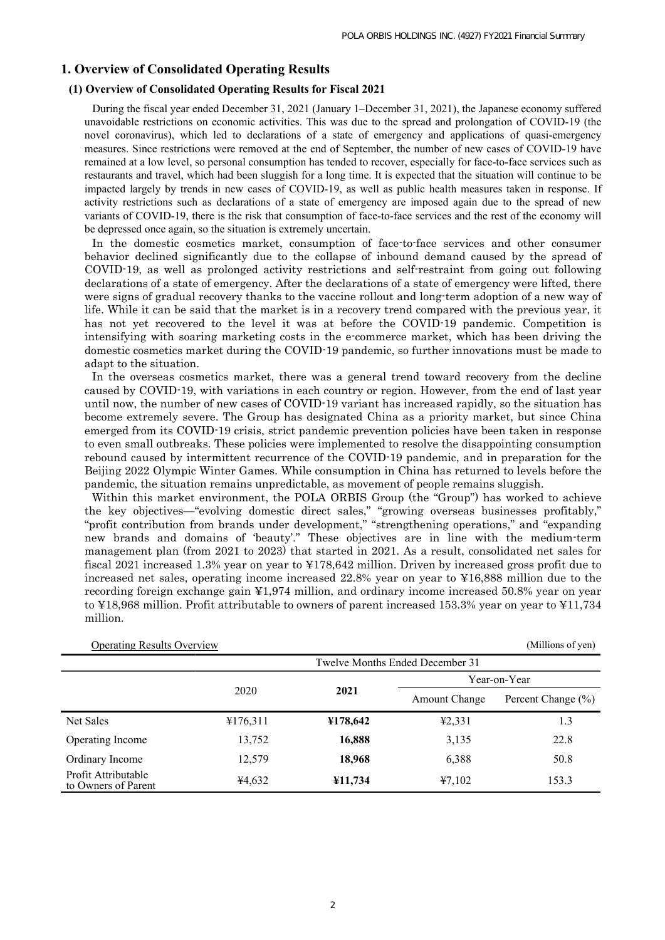## **1. Overview of Consolidated Operating Results**

## **(1) Overview of Consolidated Operating Results for Fiscal 2021**

During the fiscal year ended December 31, 2021 (January 1–December 31, 2021), the Japanese economy suffered unavoidable restrictions on economic activities. This was due to the spread and prolongation of COVID-19 (the novel coronavirus), which led to declarations of a state of emergency and applications of quasi-emergency measures. Since restrictions were removed at the end of September, the number of new cases of COVID-19 have remained at a low level, so personal consumption has tended to recover, especially for face-to-face services such as restaurants and travel, which had been sluggish for a long time. It is expected that the situation will continue to be impacted largely by trends in new cases of COVID-19, as well as public health measures taken in response. If activity restrictions such as declarations of a state of emergency are imposed again due to the spread of new variants of COVID-19, there is the risk that consumption of face-to-face services and the rest of the economy will be depressed once again, so the situation is extremely uncertain.

In the domestic cosmetics market, consumption of face-to-face services and other consumer behavior declined significantly due to the collapse of inbound demand caused by the spread of COVID-19, as well as prolonged activity restrictions and self-restraint from going out following declarations of a state of emergency. After the declarations of a state of emergency were lifted, there were signs of gradual recovery thanks to the vaccine rollout and long-term adoption of a new way of life. While it can be said that the market is in a recovery trend compared with the previous year, it has not yet recovered to the level it was at before the COVID-19 pandemic. Competition is intensifying with soaring marketing costs in the e-commerce market, which has been driving the domestic cosmetics market during the COVID-19 pandemic, so further innovations must be made to adapt to the situation.

In the overseas cosmetics market, there was a general trend toward recovery from the decline caused by COVID-19, with variations in each country or region. However, from the end of last year until now, the number of new cases of COVID-19 variant has increased rapidly, so the situation has become extremely severe. The Group has designated China as a priority market, but since China emerged from its COVID-19 crisis, strict pandemic prevention policies have been taken in response to even small outbreaks. These policies were implemented to resolve the disappointing consumption rebound caused by intermittent recurrence of the COVID-19 pandemic, and in preparation for the Beijing 2022 Olympic Winter Games. While consumption in China has returned to levels before the pandemic, the situation remains unpredictable, as movement of people remains sluggish.

Within this market environment, the POLA ORBIS Group (the "Group") has worked to achieve the key objectives—"evolving domestic direct sales," "growing overseas businesses profitably," "profit contribution from brands under development," "strengthening operations," and "expanding new brands and domains of 'beauty'." These objectives are in line with the medium-term management plan (from 2021 to 2023) that started in 2021. As a result, consolidated net sales for fiscal 2021 increased 1.3% year on year to ¥178,642 million. Driven by increased gross profit due to increased net sales, operating income increased 22.8% year on year to ¥16,888 million due to the recording foreign exchange gain ¥1,974 million, and ordinary income increased 50.8% year on year to ¥18,968 million. Profit attributable to owners of parent increased 153.3% year on year to ¥11,734 million.

| <b>Operating Results Overview</b>          |          | (Millions of yen)               |                      |                        |  |  |  |
|--------------------------------------------|----------|---------------------------------|----------------------|------------------------|--|--|--|
|                                            |          | Twelve Months Ended December 31 |                      |                        |  |  |  |
|                                            |          |                                 | Year-on-Year         |                        |  |  |  |
|                                            | 2020     | 2021                            | <b>Amount Change</b> | Percent Change $(\% )$ |  |  |  |
| Net Sales                                  | ¥176,311 | ¥178,642                        | 42,331               | 1.3                    |  |  |  |
| Operating Income                           | 13,752   | 16,888                          | 3,135                | 22.8                   |  |  |  |
| Ordinary Income                            | 12,579   | 18,968                          | 6,388                | 50.8                   |  |  |  |
| Profit Attributable<br>to Owners of Parent | ¥4,632   | 411,734                         | 47,102               | 153.3                  |  |  |  |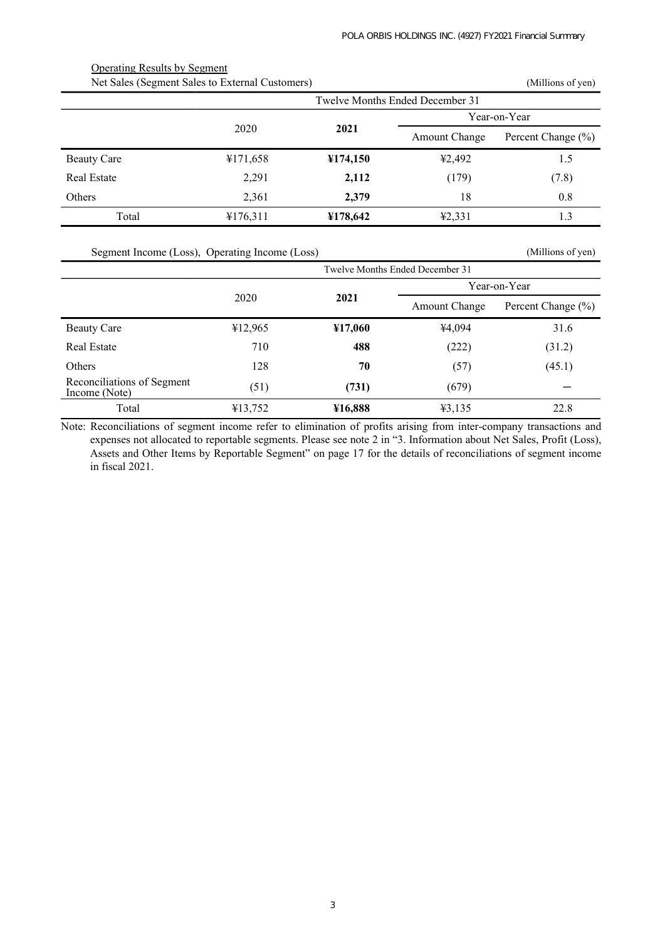| Net Sales (Segment Sales to External Customers) |          |          | (Millions of yen)    |                    |  |
|-------------------------------------------------|----------|----------|----------------------|--------------------|--|
| Twelve Months Ended December 31                 |          |          |                      |                    |  |
|                                                 |          |          | Year-on-Year         |                    |  |
|                                                 | 2020     | 2021     | <b>Amount Change</b> | Percent Change (%) |  |
| <b>Beauty Care</b>                              | ¥171,658 | ¥174,150 | ¥2,492               | 1.5                |  |
| Real Estate                                     | 2,291    | 2,112    | (179)                | (7.8)              |  |
| <b>Others</b>                                   | 2,361    | 2.379    | 18                   | 0.8                |  |
| Total                                           | ¥176,311 | ¥178,642 | 42,331               | 1.3                |  |

Operating Results by Segment

Segment Income (Loss), Operating Income (Loss) (Millions of yen)

|                                             | Twelve Months Ended December 31 |                      |                    |        |  |  |
|---------------------------------------------|---------------------------------|----------------------|--------------------|--------|--|--|
|                                             |                                 |                      | Year-on-Year       |        |  |  |
| 2020<br>2021                                |                                 | <b>Amount Change</b> | Percent Change (%) |        |  |  |
| <b>Beauty Care</b>                          | 412,965                         | ¥17,060              | ¥4,094             | 31.6   |  |  |
| Real Estate                                 | 710                             | 488                  | (222)              | (31.2) |  |  |
| <b>Others</b>                               | 128                             | 70                   | (57)               | (45.1) |  |  |
| Reconciliations of Segment<br>Income (Note) | (51)                            | (731)                | (679)              |        |  |  |
| Total                                       | ¥13,752                         | ¥16,888              | 43,135             | 22.8   |  |  |

Note: Reconciliations of segment income refer to elimination of profits arising from inter-company transactions and expenses not allocated to reportable segments. Please see note 2 in "3. Information about Net Sales, Profit (Loss), Assets and Other Items by Reportable Segment" on page 17 for the details of reconciliations of segment income in fiscal 2021.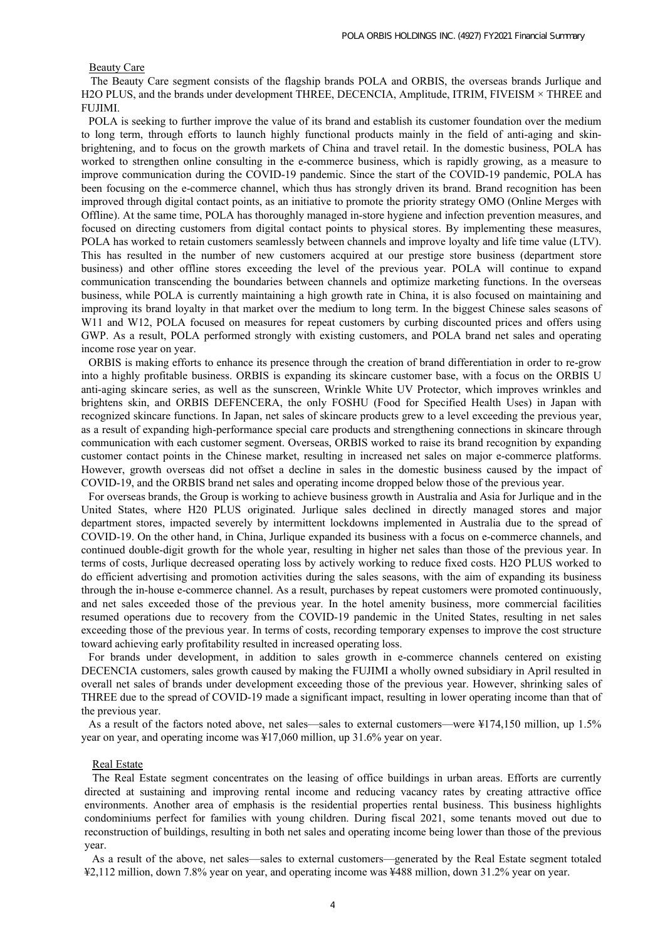#### Beauty Care

The Beauty Care segment consists of the flagship brands POLA and ORBIS, the overseas brands Jurlique and H2O PLUS, and the brands under development THREE, DECENCIA, Amplitude, ITRIM, FIVEISM × THREE and FUJIMI.

POLA is seeking to further improve the value of its brand and establish its customer foundation over the medium to long term, through efforts to launch highly functional products mainly in the field of anti-aging and skinbrightening, and to focus on the growth markets of China and travel retail. In the domestic business, POLA has worked to strengthen online consulting in the e-commerce business, which is rapidly growing, as a measure to improve communication during the COVID-19 pandemic. Since the start of the COVID-19 pandemic, POLA has been focusing on the e-commerce channel, which thus has strongly driven its brand. Brand recognition has been improved through digital contact points, as an initiative to promote the priority strategy OMO (Online Merges with Offline). At the same time, POLA has thoroughly managed in-store hygiene and infection prevention measures, and focused on directing customers from digital contact points to physical stores. By implementing these measures, POLA has worked to retain customers seamlessly between channels and improve loyalty and life time value (LTV). This has resulted in the number of new customers acquired at our prestige store business (department store business) and other offline stores exceeding the level of the previous year. POLA will continue to expand communication transcending the boundaries between channels and optimize marketing functions. In the overseas business, while POLA is currently maintaining a high growth rate in China, it is also focused on maintaining and improving its brand loyalty in that market over the medium to long term. In the biggest Chinese sales seasons of W11 and W12, POLA focused on measures for repeat customers by curbing discounted prices and offers using GWP. As a result, POLA performed strongly with existing customers, and POLA brand net sales and operating income rose year on year.

ORBIS is making efforts to enhance its presence through the creation of brand differentiation in order to re-grow into a highly profitable business. ORBIS is expanding its skincare customer base, with a focus on the ORBIS U anti-aging skincare series, as well as the sunscreen, Wrinkle White UV Protector, which improves wrinkles and brightens skin, and ORBIS DEFENCERA, the only FOSHU (Food for Specified Health Uses) in Japan with recognized skincare functions. In Japan, net sales of skincare products grew to a level exceeding the previous year, as a result of expanding high-performance special care products and strengthening connections in skincare through communication with each customer segment. Overseas, ORBIS worked to raise its brand recognition by expanding customer contact points in the Chinese market, resulting in increased net sales on major e-commerce platforms. However, growth overseas did not offset a decline in sales in the domestic business caused by the impact of COVID-19, and the ORBIS brand net sales and operating income dropped below those of the previous year.

For overseas brands, the Group is working to achieve business growth in Australia and Asia for Jurlique and in the United States, where H20 PLUS originated. Jurlique sales declined in directly managed stores and major department stores, impacted severely by intermittent lockdowns implemented in Australia due to the spread of COVID-19. On the other hand, in China, Jurlique expanded its business with a focus on e-commerce channels, and continued double-digit growth for the whole year, resulting in higher net sales than those of the previous year. In terms of costs, Jurlique decreased operating loss by actively working to reduce fixed costs. H2O PLUS worked to do efficient advertising and promotion activities during the sales seasons, with the aim of expanding its business through the in-house e-commerce channel. As a result, purchases by repeat customers were promoted continuously, and net sales exceeded those of the previous year. In the hotel amenity business, more commercial facilities resumed operations due to recovery from the COVID-19 pandemic in the United States, resulting in net sales exceeding those of the previous year. In terms of costs, recording temporary expenses to improve the cost structure toward achieving early profitability resulted in increased operating loss.

For brands under development, in addition to sales growth in e-commerce channels centered on existing DECENCIA customers, sales growth caused by making the FUJIMI a wholly owned subsidiary in April resulted in overall net sales of brands under development exceeding those of the previous year. However, shrinking sales of THREE due to the spread of COVID-19 made a significant impact, resulting in lower operating income than that of the previous year.

As a result of the factors noted above, net sales—sales to external customers—were ¥174,150 million, up 1.5% year on year, and operating income was ¥17,060 million, up 31.6% year on year.

#### Real Estate

The Real Estate segment concentrates on the leasing of office buildings in urban areas. Efforts are currently directed at sustaining and improving rental income and reducing vacancy rates by creating attractive office environments. Another area of emphasis is the residential properties rental business. This business highlights condominiums perfect for families with young children. During fiscal 2021, some tenants moved out due to reconstruction of buildings, resulting in both net sales and operating income being lower than those of the previous year.

As a result of the above, net sales—sales to external customers—generated by the Real Estate segment totaled ¥2,112 million, down 7.8% year on year, and operating income was ¥488 million, down 31.2% year on year.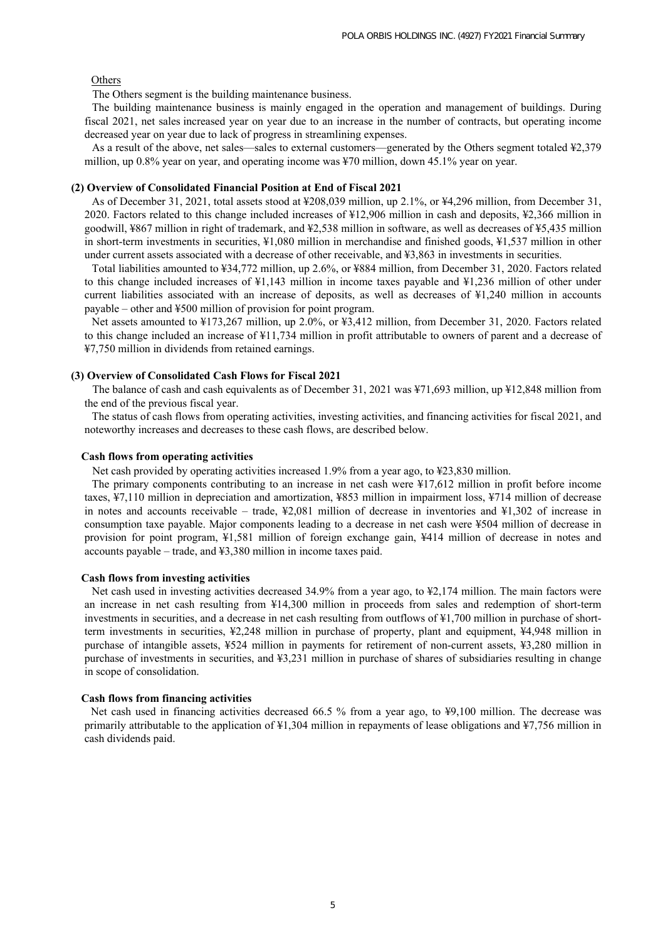### Others

The Others segment is the building maintenance business.

The building maintenance business is mainly engaged in the operation and management of buildings. During fiscal 2021, net sales increased year on year due to an increase in the number of contracts, but operating income decreased year on year due to lack of progress in streamlining expenses.

As a result of the above, net sales—sales to external customers—generated by the Others segment totaled ¥2,379 million, up 0.8% year on year, and operating income was ¥70 million, down 45.1% year on year.

#### **(2) Overview of Consolidated Financial Position at End of Fiscal 2021**

As of December 31, 2021, total assets stood at ¥208,039 million, up 2.1%, or ¥4,296 million, from December 31, 2020. Factors related to this change included increases of ¥12,906 million in cash and deposits, ¥2,366 million in goodwill, ¥867 million in right of trademark, and ¥2,538 million in software, as well as decreases of ¥5,435 million in short-term investments in securities, ¥1,080 million in merchandise and finished goods, ¥1,537 million in other under current assets associated with a decrease of other receivable, and ¥3,863 in investments in securities.

Total liabilities amounted to ¥34,772 million, up 2.6%, or ¥884 million, from December 31, 2020. Factors related to this change included increases of ¥1,143 million in income taxes payable and ¥1,236 million of other under current liabilities associated with an increase of deposits, as well as decreases of ¥1,240 million in accounts payable – other and ¥500 million of provision for point program.

Net assets amounted to ¥173,267 million, up 2.0%, or ¥3,412 million, from December 31, 2020. Factors related to this change included an increase of ¥11,734 million in profit attributable to owners of parent and a decrease of ¥7,750 million in dividends from retained earnings.

#### **(3) Overview of Consolidated Cash Flows for Fiscal 2021**

The balance of cash and cash equivalents as of December 31, 2021 was ¥71,693 million, up ¥12,848 million from the end of the previous fiscal year.

The status of cash flows from operating activities, investing activities, and financing activities for fiscal 2021, and noteworthy increases and decreases to these cash flows, are described below.

#### **Cash flows from operating activities**

Net cash provided by operating activities increased 1.9% from a year ago, to ¥23,830 million.

The primary components contributing to an increase in net cash were ¥17,612 million in profit before income taxes, ¥7,110 million in depreciation and amortization, ¥853 million in impairment loss, ¥714 million of decrease in notes and accounts receivable – trade, ¥2,081 million of decrease in inventories and ¥1,302 of increase in consumption taxe payable. Major components leading to a decrease in net cash were ¥504 million of decrease in provision for point program, ¥1,581 million of foreign exchange gain, ¥414 million of decrease in notes and accounts payable – trade, and ¥3,380 million in income taxes paid.

#### **Cash flows from investing activities**

Net cash used in investing activities decreased 34.9% from a year ago, to ¥2,174 million. The main factors were an increase in net cash resulting from ¥14,300 million in proceeds from sales and redemption of short-term investments in securities, and a decrease in net cash resulting from outflows of ¥1,700 million in purchase of shortterm investments in securities, ¥2,248 million in purchase of property, plant and equipment, ¥4,948 million in purchase of intangible assets, ¥524 million in payments for retirement of non-current assets, ¥3,280 million in purchase of investments in securities, and ¥3,231 million in purchase of shares of subsidiaries resulting in change in scope of consolidation.

#### **Cash flows from financing activities**

 Net cash used in financing activities decreased 66.5 % from a year ago, to ¥9,100 million. The decrease was primarily attributable to the application of ¥1,304 million in repayments of lease obligations and ¥7,756 million in cash dividends paid.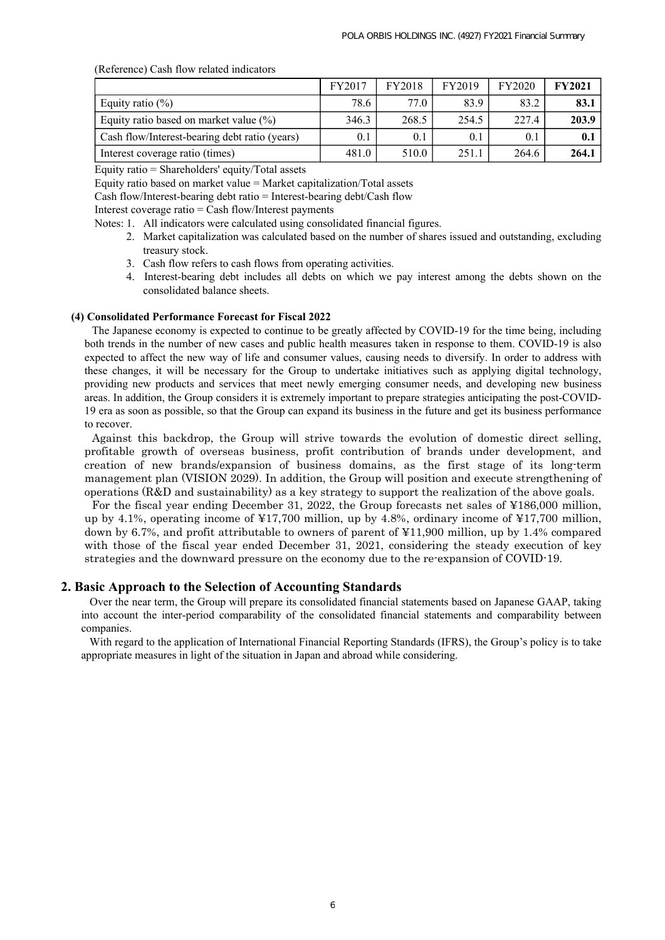(Reference) Cash flow related indicators

|                                               | FY2017 | <b>FY2018</b> | FY2019 | <b>FY2020</b> | <b>FY2021</b> |
|-----------------------------------------------|--------|---------------|--------|---------------|---------------|
| Equity ratio $(\%)$                           | 78.6   | 77.0          | 83.9   | 83.2          | 83.1          |
| Equity ratio based on market value $(\% )$    | 346.3  | 268.5         | 254.5  | 227.4         | 203.9         |
| Cash flow/Interest-bearing debt ratio (years) | 0.1    | 0.1           | 0.1    | 0.1           | 0.1           |
| Interest coverage ratio (times)               | 481.0  | 510.0         | 251.1  | 264.6         | 264.1         |

Equity ratio = Shareholders' equity/Total assets

Equity ratio based on market value = Market capitalization/Total assets

Cash flow/Interest-bearing debt ratio = Interest-bearing debt/Cash flow

Interest coverage ratio  $=$  Cash flow/Interest payments

- Notes: 1. All indicators were calculated using consolidated financial figures.
	- 2. Market capitalization was calculated based on the number of shares issued and outstanding, excluding treasury stock.
	- 3. Cash flow refers to cash flows from operating activities.
	- 4. Interest-bearing debt includes all debts on which we pay interest among the debts shown on the consolidated balance sheets.

#### **(4) Consolidated Performance Forecast for Fiscal 2022**

The Japanese economy is expected to continue to be greatly affected by COVID-19 for the time being, including both trends in the number of new cases and public health measures taken in response to them. COVID-19 is also expected to affect the new way of life and consumer values, causing needs to diversify. In order to address with these changes, it will be necessary for the Group to undertake initiatives such as applying digital technology, providing new products and services that meet newly emerging consumer needs, and developing new business areas. In addition, the Group considers it is extremely important to prepare strategies anticipating the post-COVID-19 era as soon as possible, so that the Group can expand its business in the future and get its business performance to recover.

Against this backdrop, the Group will strive towards the evolution of domestic direct selling, profitable growth of overseas business, profit contribution of brands under development, and creation of new brands/expansion of business domains, as the first stage of its long-term management plan (VISION 2029). In addition, the Group will position and execute strengthening of operations (R&D and sustainability) as a key strategy to support the realization of the above goals.

For the fiscal year ending December 31, 2022, the Group forecasts net sales of ¥186,000 million, up by 4.1%, operating income of ¥17,700 million, up by 4.8%, ordinary income of ¥17,700 million, down by 6.7%, and profit attributable to owners of parent of ¥11,900 million, up by 1.4% compared with those of the fiscal year ended December 31, 2021, considering the steady execution of key strategies and the downward pressure on the economy due to the re-expansion of COVID-19.

### **2. Basic Approach to the Selection of Accounting Standards**

 Over the near term, the Group will prepare its consolidated financial statements based on Japanese GAAP, taking into account the inter-period comparability of the consolidated financial statements and comparability between companies.

 With regard to the application of International Financial Reporting Standards (IFRS), the Group's policy is to take appropriate measures in light of the situation in Japan and abroad while considering.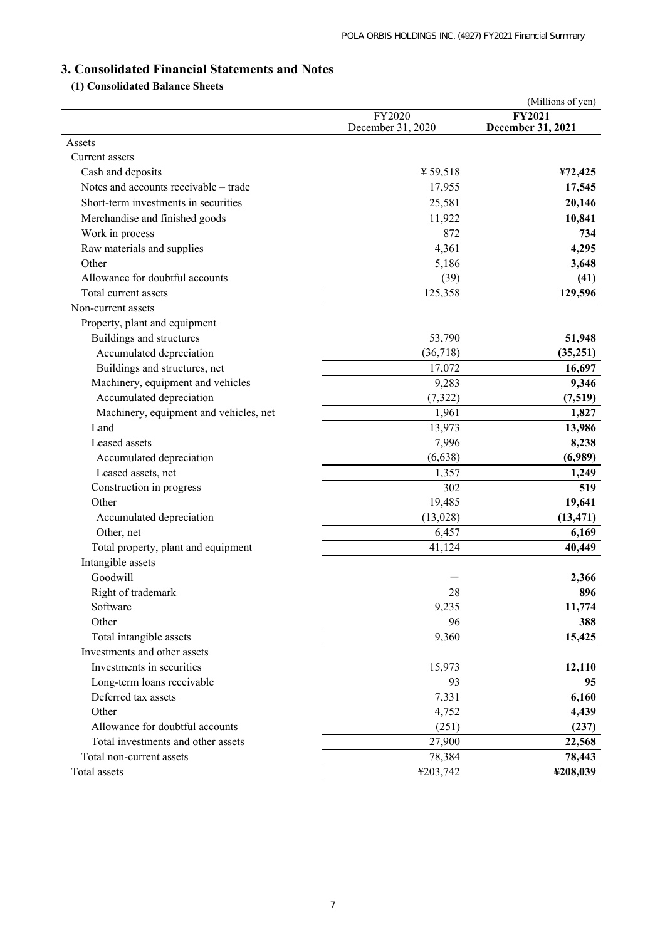# **3. Consolidated Financial Statements and Notes**

# **(1) Consolidated Balance Sheets**

|                                                   |                             | (Millions of yen)                  |
|---------------------------------------------------|-----------------------------|------------------------------------|
|                                                   | FY2020<br>December 31, 2020 | <b>FY2021</b><br>December 31, 2021 |
| Assets                                            |                             |                                    |
| Current assets                                    |                             |                                    |
| Cash and deposits                                 | ¥ 59,518                    | ¥72,425                            |
| Notes and accounts receivable - trade             | 17,955                      | 17,545                             |
| Short-term investments in securities              | 25,581                      | 20,146                             |
|                                                   | 11,922                      | 10,841                             |
| Merchandise and finished goods<br>Work in process | 872                         | 734                                |
|                                                   | 4,361                       |                                    |
| Raw materials and supplies<br>Other               |                             | 4,295                              |
|                                                   | 5,186                       | 3,648                              |
| Allowance for doubtful accounts                   | (39)                        | (41)                               |
| Total current assets                              | 125,358                     | 129,596                            |
| Non-current assets                                |                             |                                    |
| Property, plant and equipment                     |                             |                                    |
| Buildings and structures                          | 53,790                      | 51,948                             |
| Accumulated depreciation                          | (36,718)                    | (35,251)                           |
| Buildings and structures, net                     | 17,072                      | 16,697                             |
| Machinery, equipment and vehicles                 | 9,283                       | 9,346                              |
| Accumulated depreciation                          | (7,322)                     | (7,519)                            |
| Machinery, equipment and vehicles, net            | 1,961                       | 1,827                              |
| Land                                              | 13,973                      | 13,986                             |
| Leased assets                                     | 7,996                       | 8,238                              |
| Accumulated depreciation                          | (6,638)                     | (6,989)                            |
| Leased assets, net                                | 1,357                       | 1,249                              |
| Construction in progress                          | 302                         | 519                                |
| Other                                             | 19,485                      | 19,641                             |
| Accumulated depreciation                          | (13,028)                    | (13, 471)                          |
| Other, net                                        | 6,457                       | 6,169                              |
| Total property, plant and equipment               | 41,124                      | 40,449                             |
| Intangible assets                                 |                             |                                    |
| Goodwill                                          |                             | 2,366                              |
| Right of trademark                                | 28                          | 896                                |
| Software                                          | 9,235                       | 11,774                             |
| Other                                             | 96                          | 388                                |
| Total intangible assets                           | 9,360                       | 15,425                             |
| Investments and other assets                      |                             |                                    |
| Investments in securities                         | 15,973                      | 12,110                             |
| Long-term loans receivable                        | 93                          | 95                                 |
| Deferred tax assets                               | 7,331                       | 6,160                              |
| Other                                             | 4,752                       | 4,439                              |
| Allowance for doubtful accounts                   | (251)                       | (237)                              |
| Total investments and other assets                | 27,900                      | 22,568                             |
| Total non-current assets                          | 78,384                      | 78,443                             |
| Total assets                                      | ¥203,742                    | ¥208,039                           |
|                                                   |                             |                                    |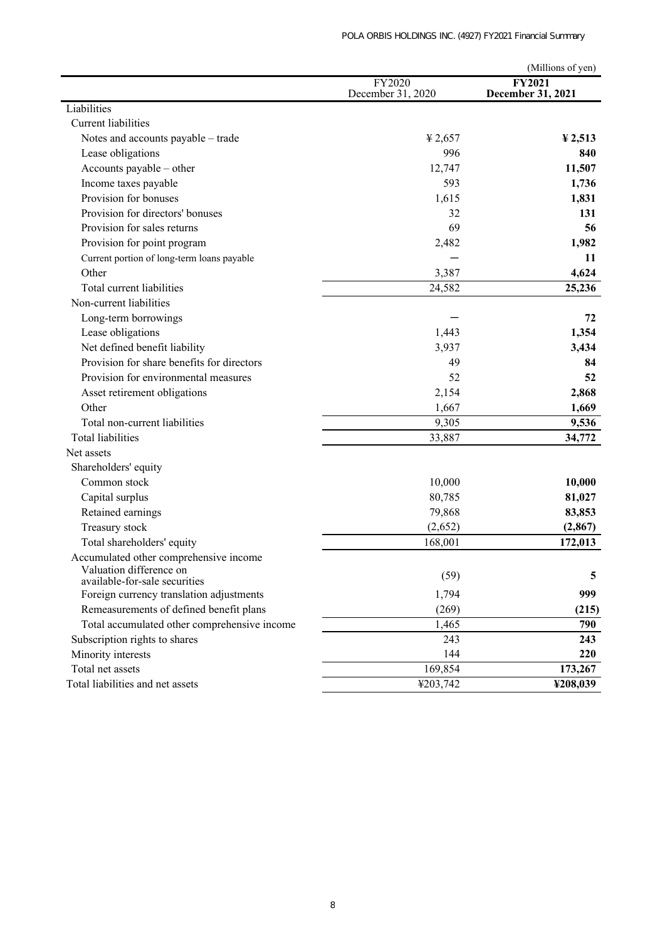|                                              |                   | (Millions of yen)      |
|----------------------------------------------|-------------------|------------------------|
|                                              | FY2020            | <b>FY2021</b>          |
|                                              | December 31, 2020 | December 31, 2021      |
| Liabilities                                  |                   |                        |
| <b>Current liabilities</b>                   |                   |                        |
| Notes and accounts payable - trade           | 42,657            | $\frac{1}{2}$ , 2, 513 |
| Lease obligations                            | 996               | 840                    |
| Accounts payable - other                     | 12,747            | 11,507                 |
| Income taxes payable                         | 593               | 1,736                  |
| Provision for bonuses                        | 1,615             | 1,831                  |
| Provision for directors' bonuses             | 32                | 131                    |
| Provision for sales returns                  | 69                | 56                     |
| Provision for point program                  | 2,482             | 1,982                  |
| Current portion of long-term loans payable   |                   | 11                     |
| Other                                        | 3,387             | 4,624                  |
| Total current liabilities                    | 24,582            | 25,236                 |
| Non-current liabilities                      |                   |                        |
| Long-term borrowings                         |                   | 72                     |
| Lease obligations                            | 1,443             | 1,354                  |
| Net defined benefit liability                | 3,937             | 3,434                  |
| Provision for share benefits for directors   | 49                | 84                     |
| Provision for environmental measures         | 52                | 52                     |
| Asset retirement obligations                 | 2,154             | 2,868                  |
| Other                                        | 1,667             | 1,669                  |
| Total non-current liabilities                | 9,305             | 9,536                  |
| <b>Total liabilities</b>                     | 33,887            | 34,772                 |
| Net assets                                   |                   |                        |
| Shareholders' equity                         |                   |                        |
| Common stock                                 | 10,000            | 10,000                 |
| Capital surplus                              | 80,785            | 81,027                 |
| Retained earnings                            | 79,868            | 83,853                 |
| Treasury stock                               | (2,652)           | (2, 867)               |
| Total shareholders' equity                   | 168,001           | 172,013                |
| Accumulated other comprehensive income       |                   |                        |
| Valuation difference on                      |                   |                        |
| available-for-sale securities                | (59)              | 5                      |
| Foreign currency translation adjustments     | 1,794             | 999                    |
| Remeasurements of defined benefit plans      | (269)             | (215)                  |
| Total accumulated other comprehensive income | 1,465             | 790                    |
| Subscription rights to shares                | 243               | 243                    |
| Minority interests                           | 144               | 220                    |
| Total net assets                             | 169,854           | 173,267                |
| Total liabilities and net assets             | ¥203,742          | ¥208,039               |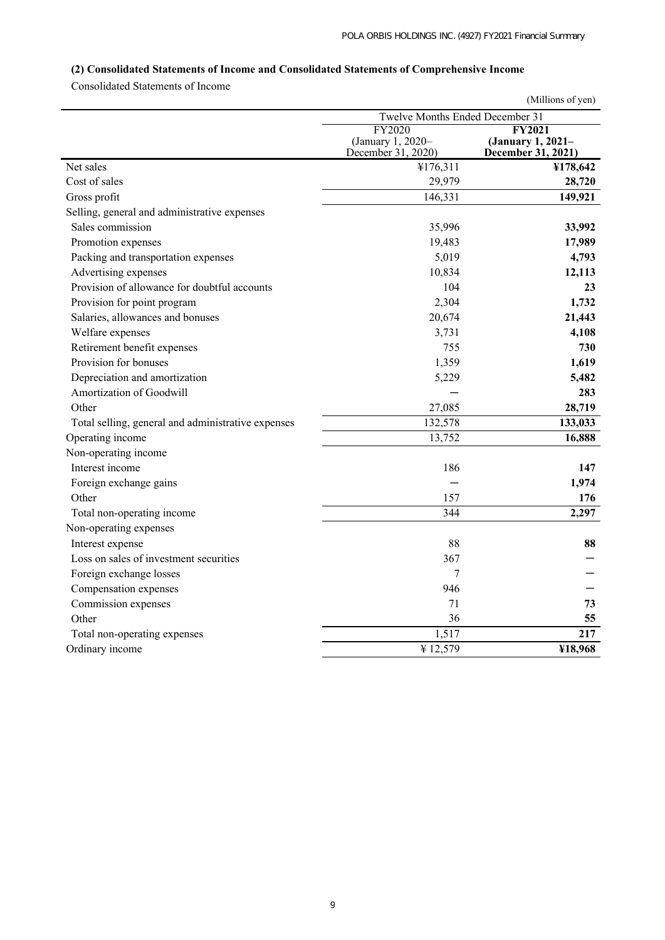# **(2) Consolidated Statements of Income and Consolidated Statements of Comprehensive Income**

Consolidated Statements of Income

|                                                    |                                                   | (Millions of yen)                                        |
|----------------------------------------------------|---------------------------------------------------|----------------------------------------------------------|
|                                                    | Twelve Months Ended December 31                   |                                                          |
|                                                    | FY2020<br>(January 1, 2020-<br>December 31, 2020) | <b>FY2021</b><br>(January 1, 2021-<br>December 31, 2021) |
| Net sales                                          | ¥176,311                                          | ¥178,642                                                 |
| Cost of sales                                      | 29,979                                            | 28,720                                                   |
| Gross profit                                       | 146,331                                           | 149,921                                                  |
| Selling, general and administrative expenses       |                                                   |                                                          |
| Sales commission                                   | 35,996                                            | 33,992                                                   |
| Promotion expenses                                 | 19,483                                            | 17,989                                                   |
| Packing and transportation expenses                | 5,019                                             | 4,793                                                    |
| Advertising expenses                               | 10,834                                            | 12,113                                                   |
| Provision of allowance for doubtful accounts       | 104                                               | 23                                                       |
| Provision for point program                        | 2,304                                             | 1,732                                                    |
| Salaries, allowances and bonuses                   | 20,674                                            | 21,443                                                   |
| Welfare expenses                                   | 3,731                                             | 4,108                                                    |
| Retirement benefit expenses                        | 755                                               | 730                                                      |
| Provision for bonuses                              | 1,359                                             | 1,619                                                    |
| Depreciation and amortization                      | 5,229                                             | 5,482                                                    |
| Amortization of Goodwill                           |                                                   | 283                                                      |
| Other                                              | 27,085                                            | 28,719                                                   |
| Total selling, general and administrative expenses | 132,578                                           | 133,033                                                  |
| Operating income                                   | 13,752                                            | 16,888                                                   |
| Non-operating income                               |                                                   |                                                          |
| Interest income                                    | 186                                               | 147                                                      |
| Foreign exchange gains                             |                                                   | 1,974                                                    |
| Other                                              | 157                                               | 176                                                      |
| Total non-operating income                         | 344                                               | 2,297                                                    |
| Non-operating expenses                             |                                                   |                                                          |
| Interest expense                                   | 88                                                | 88                                                       |
| Loss on sales of investment securities             | 367                                               |                                                          |
| Foreign exchange losses                            | 7                                                 |                                                          |
| Compensation expenses                              | 946                                               |                                                          |
| Commission expenses                                | 71                                                | 73                                                       |
| Other                                              | 36                                                | 55                                                       |
| Total non-operating expenses                       | 1,517                                             | 217                                                      |
| Ordinary income                                    | ¥12,579                                           | ¥18,968                                                  |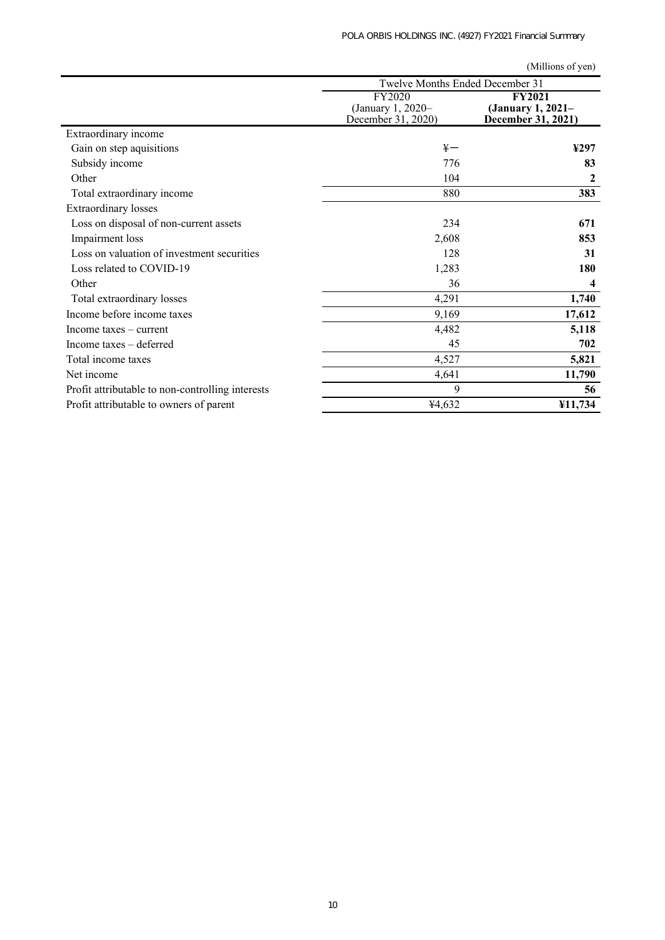(Millions of yen)

|                                                  | Twelve Months Ended December 31                   |                                                          |
|--------------------------------------------------|---------------------------------------------------|----------------------------------------------------------|
|                                                  | FY2020<br>(January 1, 2020-<br>December 31, 2020) | <b>FY2021</b><br>(January 1, 2021–<br>December 31, 2021) |
| Extraordinary income                             |                                                   |                                                          |
| Gain on step aquisitions                         | $\frac{1}{2}$                                     | ¥297                                                     |
| Subsidy income                                   | 776                                               | 83                                                       |
| Other                                            | 104                                               | 2                                                        |
| Total extraordinary income                       | 880                                               | 383                                                      |
| <b>Extraordinary losses</b>                      |                                                   |                                                          |
| Loss on disposal of non-current assets           | 234                                               | 671                                                      |
| Impairment loss                                  | 2,608                                             | 853                                                      |
| Loss on valuation of investment securities       | 128                                               | 31                                                       |
| Loss related to COVID-19                         | 1,283                                             | 180                                                      |
| Other                                            | 36                                                | 4                                                        |
| Total extraordinary losses                       | 4,291                                             | 1,740                                                    |
| Income before income taxes                       | 9,169                                             | 17,612                                                   |
| Income taxes $-$ current                         | 4,482                                             | 5,118                                                    |
| Income taxes – deferred                          | 45                                                | 702                                                      |
| Total income taxes                               | 4,527                                             | 5,821                                                    |
| Net income                                       | 4,641                                             | 11,790                                                   |
| Profit attributable to non-controlling interests | 9                                                 | 56                                                       |
| Profit attributable to owners of parent          | ¥4,632                                            | ¥11,734                                                  |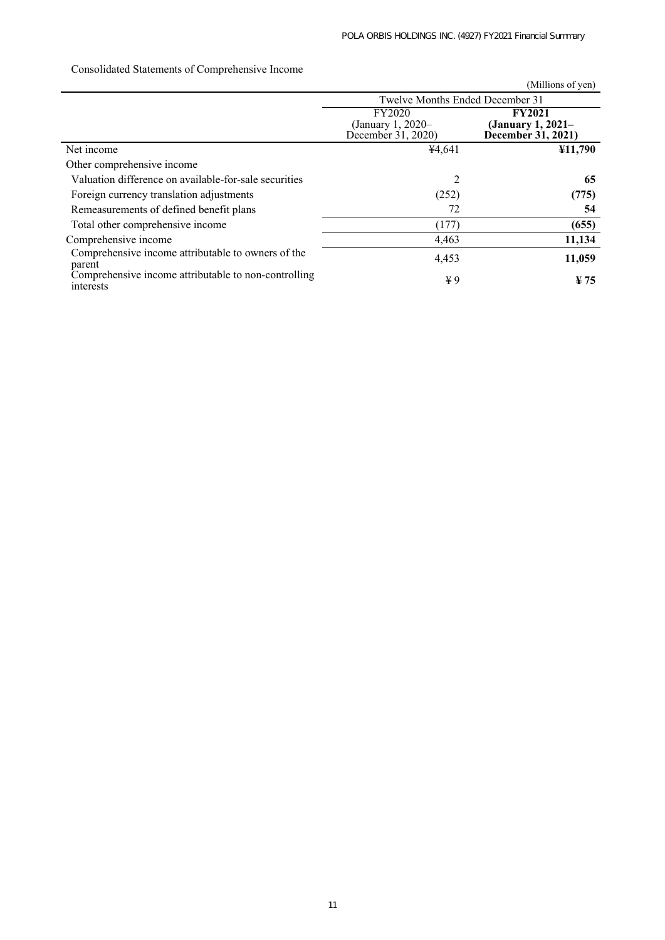|                                                                   |                                         | (Millions of yen)                       |  |
|-------------------------------------------------------------------|-----------------------------------------|-----------------------------------------|--|
|                                                                   | Twelve Months Ended December 31         |                                         |  |
|                                                                   | FY2020                                  | <b>FY2021</b>                           |  |
|                                                                   | (January 1, 2020–<br>December 31, 2020) | (January 1, 2021-<br>December 31, 2021) |  |
| Net income                                                        | 44,641                                  | ¥11,790                                 |  |
| Other comprehensive income                                        |                                         |                                         |  |
| Valuation difference on available-for-sale securities             | 2                                       | 65                                      |  |
| Foreign currency translation adjustments                          | (252)                                   | (775)                                   |  |
| Remeasurements of defined benefit plans                           | 72                                      | 54                                      |  |
| Total other comprehensive income                                  | (177)                                   | (655)                                   |  |
| Comprehensive income                                              | 4,463                                   | 11,134                                  |  |
| Comprehensive income attributable to owners of the<br>parent      | 4,453                                   | 11,059                                  |  |
| Comprehensive income attributable to non-controlling<br>interests | ¥9                                      | $\frac{1}{2}$ 75                        |  |

# Consolidated Statements of Comprehensive Income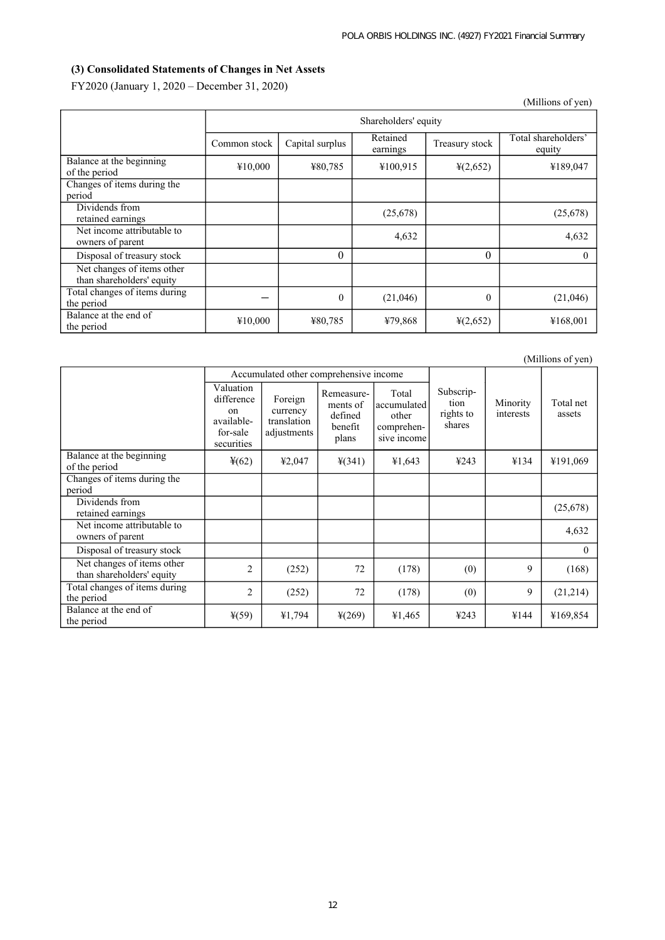# **(3) Consolidated Statements of Changes in Net Assets**

FY2020 (January 1, 2020 – December 31, 2020)

|                                                         |              |                      |                      |                      | (Millions of yen)             |  |
|---------------------------------------------------------|--------------|----------------------|----------------------|----------------------|-------------------------------|--|
|                                                         |              | Shareholders' equity |                      |                      |                               |  |
|                                                         | Common stock | Capital surplus      | Retained<br>earnings | Treasury stock       | Total shareholders'<br>equity |  |
| Balance at the beginning<br>of the period               | ¥10,000      | ¥80,785              | ¥100,915             | $\frac{1}{2}(2,652)$ | ¥189,047                      |  |
| Changes of items during the<br>period                   |              |                      |                      |                      |                               |  |
| Dividends from<br>retained earnings                     |              |                      | (25,678)             |                      | (25,678)                      |  |
| Net income attributable to<br>owners of parent          |              |                      | 4,632                |                      | 4,632                         |  |
| Disposal of treasury stock                              |              | $\theta$             |                      | $\theta$             | $\Omega$                      |  |
| Net changes of items other<br>than shareholders' equity |              |                      |                      |                      |                               |  |
| Total changes of items during<br>the period             |              | $\theta$             | (21,046)             | $\theta$             | (21,046)                      |  |
| Balance at the end of<br>the period                     | ¥10,000      | ¥80,785              | ¥79,868              | $\frac{1}{2}(2,652)$ | ¥168,001                      |  |

|                                                         |                                                                       | Accumulated other comprehensive income            |                                                       |                                                            |                                          |                       |                     |
|---------------------------------------------------------|-----------------------------------------------------------------------|---------------------------------------------------|-------------------------------------------------------|------------------------------------------------------------|------------------------------------------|-----------------------|---------------------|
|                                                         | Valuation<br>difference<br>on<br>available-<br>for-sale<br>securities | Foreign<br>currency<br>translation<br>adjustments | Remeasure-<br>ments of<br>defined<br>benefit<br>plans | Total<br>accumulated<br>other<br>comprehen-<br>sive income | Subscrip-<br>tion<br>rights to<br>shares | Minority<br>interests | Total net<br>assets |
| Balance at the beginning<br>of the period               | $\frac{1}{2}(62)$                                                     | ¥2,047                                            | $\frac{1}{2}(341)$                                    | ¥1,643                                                     | ¥243                                     | ¥134                  | ¥191,069            |
| Changes of items during the<br>period                   |                                                                       |                                                   |                                                       |                                                            |                                          |                       |                     |
| Dividends from<br>retained earnings                     |                                                                       |                                                   |                                                       |                                                            |                                          |                       | (25,678)            |
| Net income attributable to<br>owners of parent          |                                                                       |                                                   |                                                       |                                                            |                                          |                       | 4,632               |
| Disposal of treasury stock                              |                                                                       |                                                   |                                                       |                                                            |                                          |                       | $\Omega$            |
| Net changes of items other<br>than shareholders' equity | 2                                                                     | (252)                                             | 72                                                    | (178)                                                      | (0)                                      | 9                     | (168)               |
| Total changes of items during<br>the period             | $\overline{2}$                                                        | (252)                                             | 72                                                    | (178)                                                      | (0)                                      | 9                     | (21,214)            |
| Balance at the end of<br>the period                     | $*(59)$                                                               | ¥1,794                                            | $\frac{1}{2}(269)$                                    | ¥1,465                                                     | 4243                                     | ¥144                  | ¥169,854            |

(Millions of yen)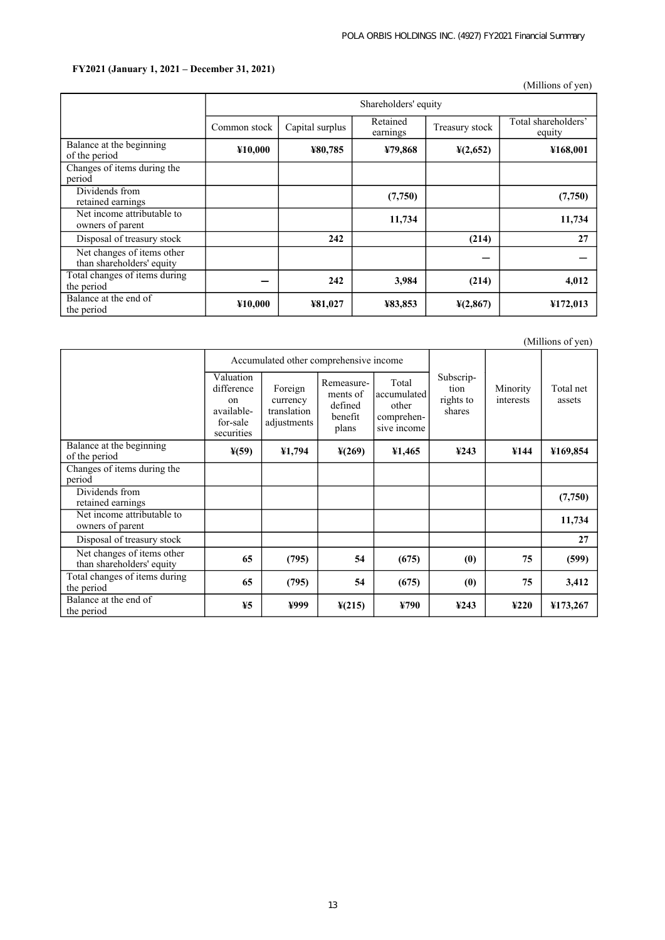# **FY2021 (January 1, 2021 – December 31, 2021)**

(Millions of yen)

|                                                         | Shareholders' equity |                 |                      |                      |                               |  |  |
|---------------------------------------------------------|----------------------|-----------------|----------------------|----------------------|-------------------------------|--|--|
|                                                         | Common stock         | Capital surplus | Retained<br>earnings | Treasury stock       | Total shareholders'<br>equity |  |  |
| Balance at the beginning<br>of the period               | ¥10,000              | ¥80,785         | ¥79,868              | $\frac{1}{2}(2,652)$ | ¥168,001                      |  |  |
| Changes of items during the<br>period                   |                      |                 |                      |                      |                               |  |  |
| Dividends from<br>retained earnings                     |                      |                 | (7,750)              |                      | (7,750)                       |  |  |
| Net income attributable to<br>owners of parent          |                      |                 | 11,734               |                      | 11,734                        |  |  |
| Disposal of treasury stock                              |                      | 242             |                      | (214)                | 27                            |  |  |
| Net changes of items other<br>than shareholders' equity |                      |                 |                      |                      |                               |  |  |
| Total changes of items during<br>the period             |                      | 242             | 3,984                | (214)                | 4,012                         |  |  |
| Balance at the end of<br>the period                     | ¥10,000              | ¥81,027         | ¥83,853              | $\frac{1}{2}(2,867)$ | ¥172,013                      |  |  |

(Millions of yen)

|                                                         |                                                                                  | Accumulated other comprehensive income            |                                                       |                                                            |                                           |                       |                     |
|---------------------------------------------------------|----------------------------------------------------------------------------------|---------------------------------------------------|-------------------------------------------------------|------------------------------------------------------------|-------------------------------------------|-----------------------|---------------------|
|                                                         | Valuation<br>difference<br><sub>on</sub><br>available-<br>for-sale<br>securities | Foreign<br>currency<br>translation<br>adjustments | Remeasure-<br>ments of<br>defined<br>benefit<br>plans | Total<br>accumulated<br>other<br>comprehen-<br>sive income | Subscrip-<br>tion<br>rights to<br>shares  | Minority<br>interests | Total net<br>assets |
| Balance at the beginning<br>of the period               | $\frac{1}{2}(59)$                                                                | ¥1,794                                            | $\frac{1}{2}(269)$                                    | ¥1,465                                                     | 4243                                      | ¥144                  | ¥169,854            |
| Changes of items during the<br>period                   |                                                                                  |                                                   |                                                       |                                                            |                                           |                       |                     |
| Dividends from<br>retained earnings                     |                                                                                  |                                                   |                                                       |                                                            |                                           |                       | (7,750)             |
| Net income attributable to<br>owners of parent          |                                                                                  |                                                   |                                                       |                                                            |                                           |                       | 11,734              |
| Disposal of treasury stock                              |                                                                                  |                                                   |                                                       |                                                            |                                           |                       | 27                  |
| Net changes of items other<br>than shareholders' equity | 65                                                                               | (795)                                             | 54                                                    | (675)                                                      | (0)                                       | 75                    | (599)               |
| Total changes of items during<br>the period             | 65                                                                               | (795)                                             | 54                                                    | (675)                                                      | (0)                                       | 75                    | 3,412               |
| Balance at the end of<br>the period                     | 45                                                                               | ¥999                                              | $\frac{1}{2}(215)$                                    | ¥790                                                       | $\textcolor{blue}{\boldsymbol{\Psi}}$ 243 | ¥220                  | ¥173,267            |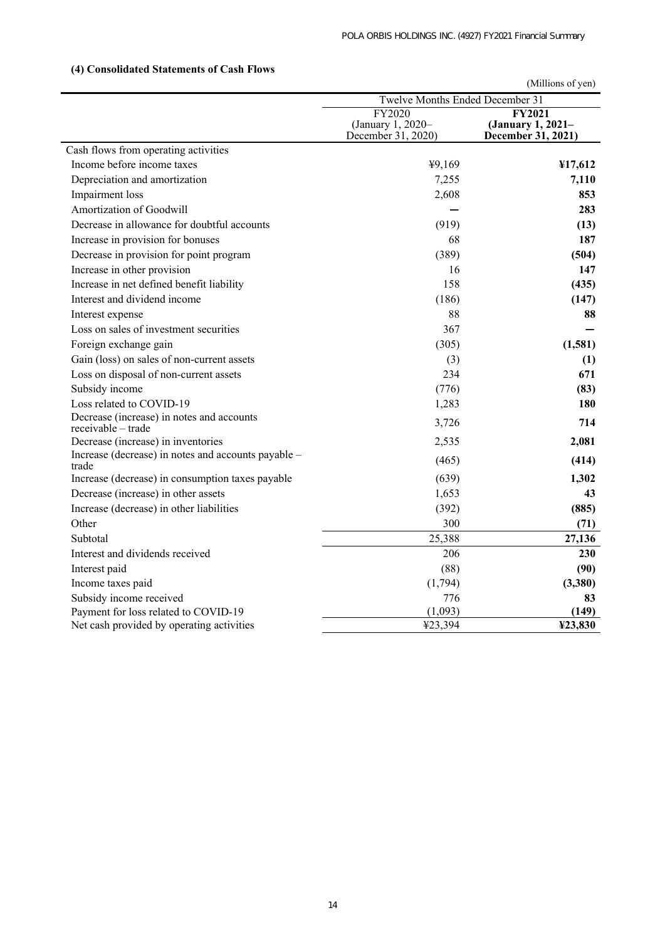|                                                                 |                                                   | (Millions of yen)                                        |  |  |
|-----------------------------------------------------------------|---------------------------------------------------|----------------------------------------------------------|--|--|
|                                                                 | Twelve Months Ended December 31                   |                                                          |  |  |
|                                                                 | FY2020<br>(January 1, 2020-<br>December 31, 2020) | <b>FY2021</b><br>(January 1, 2021-<br>December 31, 2021) |  |  |
| Cash flows from operating activities                            |                                                   |                                                          |  |  |
| Income before income taxes                                      | ¥9,169                                            | ¥17,612                                                  |  |  |
| Depreciation and amortization                                   | 7,255                                             | 7,110                                                    |  |  |
| Impairment loss                                                 | 2,608                                             | 853                                                      |  |  |
| Amortization of Goodwill                                        |                                                   | 283                                                      |  |  |
| Decrease in allowance for doubtful accounts                     | (919)                                             | (13)                                                     |  |  |
| Increase in provision for bonuses                               | 68                                                | 187                                                      |  |  |
| Decrease in provision for point program                         | (389)                                             | (504)                                                    |  |  |
| Increase in other provision                                     | 16                                                | 147                                                      |  |  |
| Increase in net defined benefit liability                       | 158                                               | (435)                                                    |  |  |
| Interest and dividend income                                    | (186)                                             | (147)                                                    |  |  |
| Interest expense                                                | 88                                                | 88                                                       |  |  |
| Loss on sales of investment securities                          | 367                                               |                                                          |  |  |
| Foreign exchange gain                                           | (305)                                             | (1,581)                                                  |  |  |
| Gain (loss) on sales of non-current assets                      | (3)                                               | (1)                                                      |  |  |
| Loss on disposal of non-current assets                          | 234                                               | 671                                                      |  |  |
| Subsidy income                                                  | (776)                                             | (83)                                                     |  |  |
| Loss related to COVID-19                                        | 1,283                                             | 180                                                      |  |  |
| Decrease (increase) in notes and accounts<br>receivable – trade | 3,726                                             | 714                                                      |  |  |
| Decrease (increase) in inventories                              | 2,535                                             | 2,081                                                    |  |  |
| Increase (decrease) in notes and accounts payable -<br>trade    | (465)                                             | (414)                                                    |  |  |
| Increase (decrease) in consumption taxes payable                | (639)                                             | 1,302                                                    |  |  |
| Decrease (increase) in other assets                             | 1,653                                             | 43                                                       |  |  |
| Increase (decrease) in other liabilities                        | (392)                                             | (885)                                                    |  |  |
| Other                                                           | 300                                               | (71)                                                     |  |  |
| Subtotal                                                        | 25,388                                            | 27,136                                                   |  |  |
| Interest and dividends received                                 | 206                                               | 230                                                      |  |  |
| Interest paid                                                   | (88)                                              | (90)                                                     |  |  |
| Income taxes paid                                               | (1,794)                                           | (3,380)                                                  |  |  |
| Subsidy income received                                         | 776                                               | 83                                                       |  |  |
| Payment for loss related to COVID-19                            | (1,093)                                           | (149)                                                    |  |  |
| Net cash provided by operating activities                       | ¥23,394                                           | ¥23,830                                                  |  |  |

# **(4) Consolidated Statements of Cash Flows**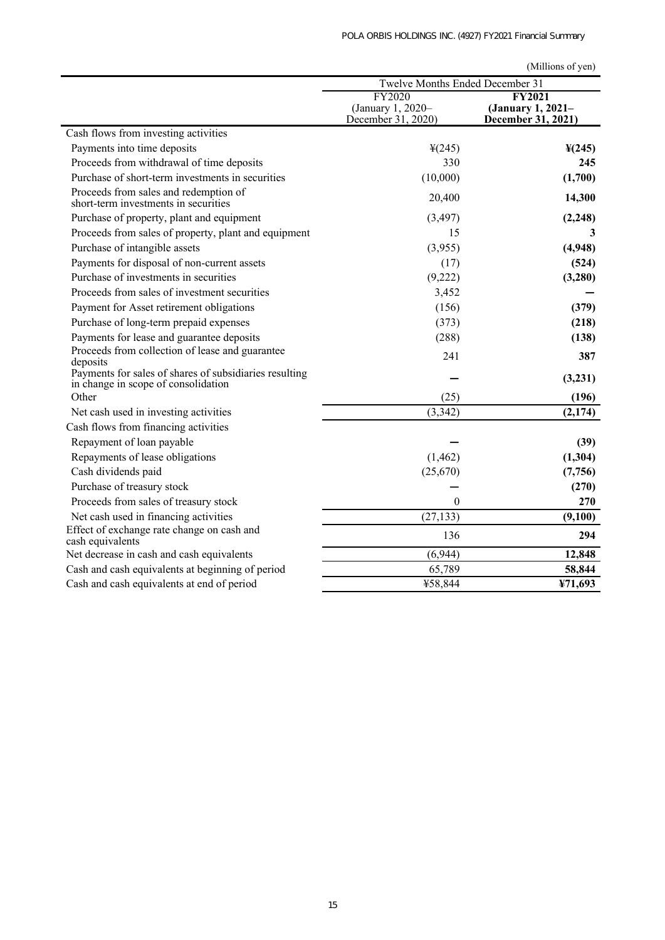|                                                                                                         | Twelve Months Ended December 31                   |                                                          |
|---------------------------------------------------------------------------------------------------------|---------------------------------------------------|----------------------------------------------------------|
|                                                                                                         | FY2020<br>(January 1, 2020-<br>December 31, 2020) | <b>FY2021</b><br>(January 1, 2021–<br>December 31, 2021) |
| Cash flows from investing activities                                                                    |                                                   |                                                          |
| Payments into time deposits                                                                             | $\frac{1}{2}(245)$                                | $\frac{1}{2}(245)$                                       |
| Proceeds from withdrawal of time deposits                                                               | 330                                               | 245                                                      |
| Purchase of short-term investments in securities                                                        | (10,000)                                          | (1,700)                                                  |
| Proceeds from sales and redemption of<br>short-term investments in securities                           | 20,400                                            | 14,300                                                   |
| Purchase of property, plant and equipment                                                               | (3, 497)                                          | (2, 248)                                                 |
| Proceeds from sales of property, plant and equipment                                                    | 15                                                | 3                                                        |
| Purchase of intangible assets                                                                           | (3,955)                                           | (4,948)                                                  |
| Payments for disposal of non-current assets                                                             | (17)                                              | (524)                                                    |
| Purchase of investments in securities                                                                   | (9,222)                                           | (3,280)                                                  |
| Proceeds from sales of investment securities                                                            | 3,452                                             |                                                          |
| Payment for Asset retirement obligations                                                                | (156)                                             | (379)                                                    |
| Purchase of long-term prepaid expenses                                                                  | (373)                                             | (218)                                                    |
| Payments for lease and guarantee deposits                                                               | (288)                                             | (138)                                                    |
| Proceeds from collection of lease and guarantee<br>deposits                                             | 241                                               | 387                                                      |
| Payments for sales of shares of subsidiaries resulting<br>in change in scope of consolidation           |                                                   | (3,231)                                                  |
| Other                                                                                                   | (25)                                              | (196)                                                    |
| Net cash used in investing activities                                                                   | (3, 342)                                          | (2,174)                                                  |
| Cash flows from financing activities                                                                    |                                                   |                                                          |
| Repayment of loan payable                                                                               |                                                   | (39)                                                     |
| Repayments of lease obligations                                                                         | (1, 462)                                          | (1,304)                                                  |
| Cash dividends paid                                                                                     | (25,670)                                          | (7,756)                                                  |
| Purchase of treasury stock                                                                              |                                                   | (270)<br>270                                             |
| Proceeds from sales of treasury stock                                                                   | $\theta$                                          |                                                          |
| Net cash used in financing activities<br>Effect of exchange rate change on cash and<br>cash equivalents | (27, 133)<br>136                                  | (9,100)<br>294                                           |
| Net decrease in cash and cash equivalents                                                               | (6,944)                                           | 12,848                                                   |
| Cash and cash equivalents at beginning of period                                                        | 65,789                                            | 58,844                                                   |
| Cash and cash equivalents at end of period                                                              | ¥58,844                                           | ¥71,693                                                  |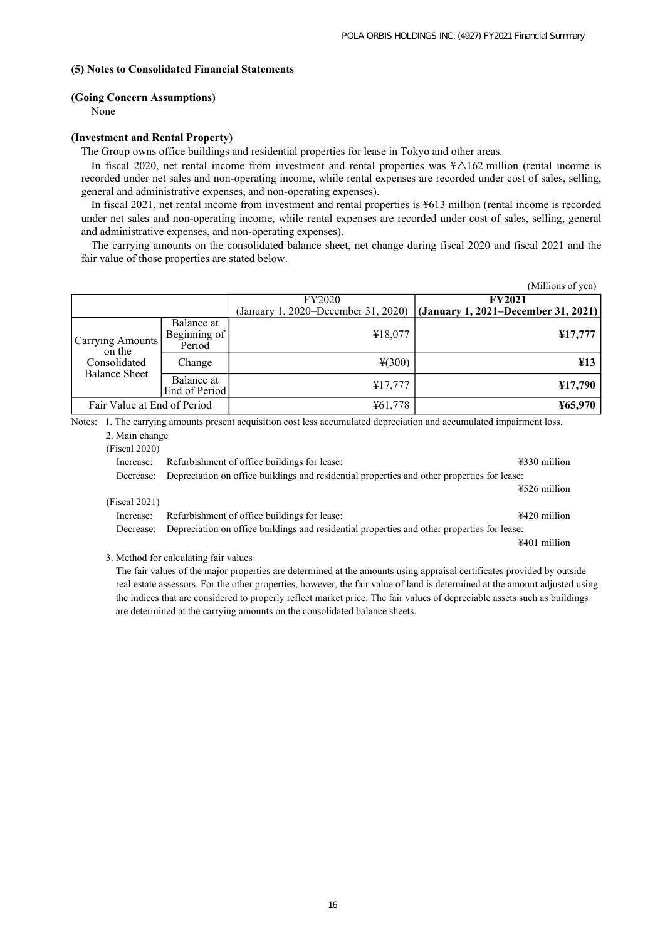### **(5) Notes to Consolidated Financial Statements**

#### **(Going Concern Assumptions)**

None

#### **(Investment and Rental Property)**

The Group owns office buildings and residential properties for lease in Tokyo and other areas.

In fiscal 2020, net rental income from investment and rental properties was  $\frac{1}{2}$  million (rental income is recorded under net sales and non-operating income, while rental expenses are recorded under cost of sales, selling, general and administrative expenses, and non-operating expenses).

In fiscal 2021, net rental income from investment and rental properties is ¥613 million (rental income is recorded under net sales and non-operating income, while rental expenses are recorded under cost of sales, selling, general and administrative expenses, and non-operating expenses).

The carrying amounts on the consolidated balance sheet, net change during fiscal 2020 and fiscal 2021 and the fair value of those properties are stated below.

|                                      |                                      |               | (Millions of yen)                                                       |
|--------------------------------------|--------------------------------------|---------------|-------------------------------------------------------------------------|
|                                      |                                      | <b>FY2020</b> | <b>FY2021</b>                                                           |
|                                      |                                      |               | (January 1, 2020–December 31, 2020) (January 1, 2021–December 31, 2021) |
| Carrying Amounts  <br>on the         | Balance at<br>Beginning of<br>Period | ¥18,077       | 417,777                                                                 |
| Consolidated<br><b>Balance Sheet</b> | Change                               | $*(300)$      | $\angle 413$                                                            |
|                                      | Balance at<br>End of Period          | ¥17,777       | ¥17,790                                                                 |
| Fair Value at End of Period          |                                      | ¥61,778       | ¥65,970                                                                 |

Notes: 1. The carrying amounts present acquisition cost less accumulated depreciation and accumulated impairment loss.

|  |  | 2. Main change |
|--|--|----------------|
|--|--|----------------|

| (Fiscal 2020) |  |
|---------------|--|
|               |  |

| Increase:     | Refurbishment of office buildings for lease:                                                          | ¥330 million               |
|---------------|-------------------------------------------------------------------------------------------------------|----------------------------|
|               | Decrease: Depreciation on office buildings and residential properties and other properties for lease: |                            |
|               |                                                                                                       | $\frac{1526}{100}$ million |
| (Fiscal 2021) |                                                                                                       |                            |
| Increase:     | Refurbishment of office buildings for lease:                                                          | $4420$ million             |
| Decrease:     | Depreciation on office buildings and residential properties and other properties for lease:           |                            |
|               |                                                                                                       | $4401$ million             |

3. Method for calculating fair values

The fair values of the major properties are determined at the amounts using appraisal certificates provided by outside real estate assessors. For the other properties, however, the fair value of land is determined at the amount adjusted using the indices that are considered to properly reflect market price. The fair values of depreciable assets such as buildings are determined at the carrying amounts on the consolidated balance sheets.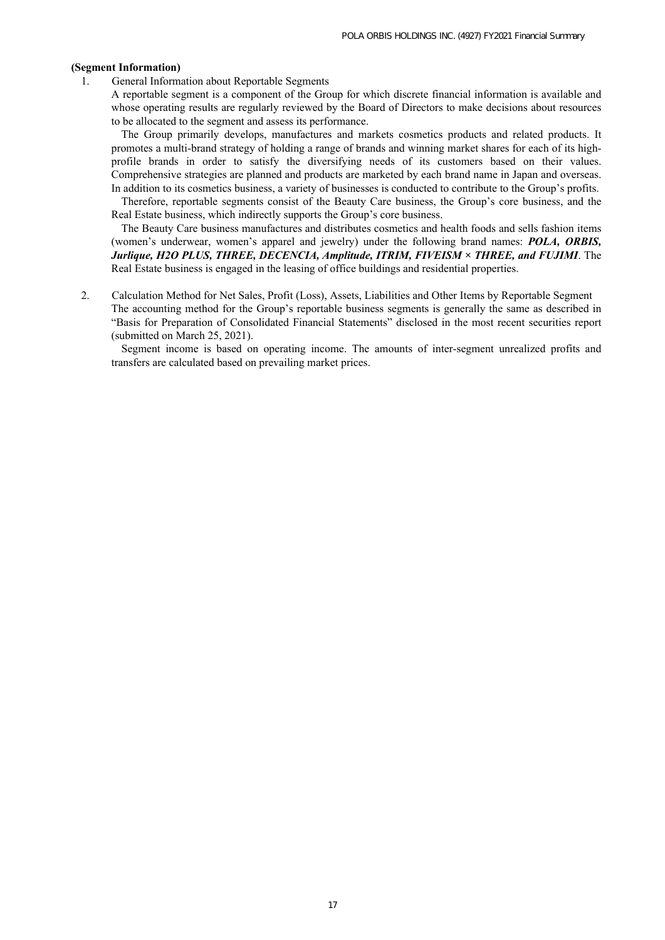## **(Segment Information)**

1. General Information about Reportable Segments

A reportable segment is a component of the Group for which discrete financial information is available and whose operating results are regularly reviewed by the Board of Directors to make decisions about resources to be allocated to the segment and assess its performance.

The Group primarily develops, manufactures and markets cosmetics products and related products. It promotes a multi-brand strategy of holding a range of brands and winning market shares for each of its highprofile brands in order to satisfy the diversifying needs of its customers based on their values. Comprehensive strategies are planned and products are marketed by each brand name in Japan and overseas. In addition to its cosmetics business, a variety of businesses is conducted to contribute to the Group's profits.

Therefore, reportable segments consist of the Beauty Care business, the Group's core business, and the Real Estate business, which indirectly supports the Group's core business.

The Beauty Care business manufactures and distributes cosmetics and health foods and sells fashion items (women's underwear, women's apparel and jewelry) under the following brand names: *POLA, ORBIS, Jurlique, H2O PLUS, THREE, DECENCIA, Amplitude, ITRIM, FIVEISM × THREE, and FUJIMI*. The Real Estate business is engaged in the leasing of office buildings and residential properties.

2. Calculation Method for Net Sales, Profit (Loss), Assets, Liabilities and Other Items by Reportable Segment The accounting method for the Group's reportable business segments is generally the same as described in "Basis for Preparation of Consolidated Financial Statements" disclosed in the most recent securities report (submitted on March 25, 2021).

Segment income is based on operating income. The amounts of inter-segment unrealized profits and transfers are calculated based on prevailing market prices.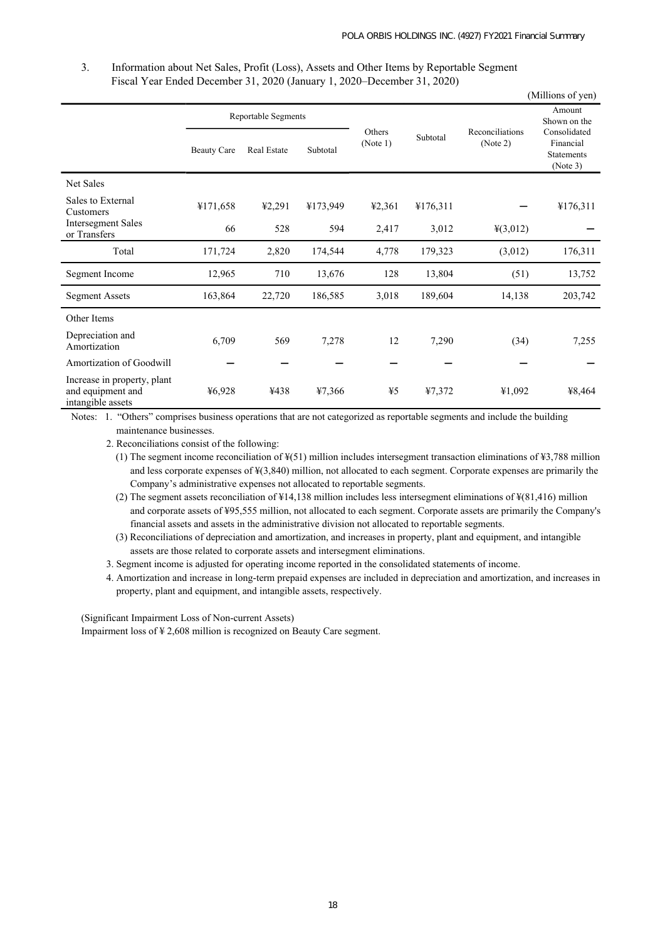3. Information about Net Sales, Profit (Loss), Assets and Other Items by Reportable Segment Fiscal Year Ended December 31, 2020 (January 1, 2020–December 31, 2020)

|                                                                       |                    |                                           |          |                    |          |                             | (Millions of yen)                                                                    |
|-----------------------------------------------------------------------|--------------------|-------------------------------------------|----------|--------------------|----------|-----------------------------|--------------------------------------------------------------------------------------|
|                                                                       | <b>Beauty Care</b> | Reportable Segments<br><b>Real Estate</b> | Subtotal | Others<br>(Note 1) | Subtotal | Reconciliations<br>(Note 2) | Amount<br>Shown on the<br>Consolidated<br>Financial<br><b>Statements</b><br>(Note 3) |
| <b>Net Sales</b>                                                      |                    |                                           |          |                    |          |                             |                                                                                      |
| Sales to External<br>Customers                                        | ¥171,658           | 42,291                                    | ¥173,949 | 42,361             | ¥176,311 |                             | ¥176,311                                                                             |
| <b>Intersegment Sales</b><br>or Transfers                             | 66                 | 528                                       | 594      | 2,417              | 3,012    | 4(3,012)                    |                                                                                      |
| Total                                                                 | 171,724            | 2,820                                     | 174,544  | 4,778              | 179,323  | (3,012)                     | 176,311                                                                              |
| Segment Income                                                        | 12,965             | 710                                       | 13,676   | 128                | 13,804   | (51)                        | 13,752                                                                               |
| <b>Segment Assets</b>                                                 | 163,864            | 22,720                                    | 186,585  | 3,018              | 189,604  | 14,138                      | 203,742                                                                              |
| Other Items                                                           |                    |                                           |          |                    |          |                             |                                                                                      |
| Depreciation and<br>Amortization                                      | 6,709              | 569                                       | 7,278    | 12                 | 7,290    | (34)                        | 7,255                                                                                |
| Amortization of Goodwill                                              |                    |                                           |          |                    |          |                             |                                                                                      |
| Increase in property, plant<br>and equipment and<br>intangible assets | 46,928             | ¥438                                      | ¥7,366   | ¥5                 | ¥7,372   | ¥1,092                      | ¥8,464                                                                               |

Notes: 1. "Others" comprises business operations that are not categorized as reportable segments and include the building maintenance businesses.

2. Reconciliations consist of the following:

(1) The segment income reconciliation of  $\frac{1}{2}$ (51) million includes intersegment transaction eliminations of  $\frac{1}{2}$ ,788 million and less corporate expenses of ¥(3,840) million, not allocated to each segment. Corporate expenses are primarily the Company's administrative expenses not allocated to reportable segments.

(2) The segment assets reconciliation of ¥14,138 million includes less intersegment eliminations of ¥(81,416) million and corporate assets of ¥95,555 million, not allocated to each segment. Corporate assets are primarily the Company's financial assets and assets in the administrative division not allocated to reportable segments.

(3) Reconciliations of depreciation and amortization, and increases in property, plant and equipment, and intangible assets are those related to corporate assets and intersegment eliminations.

3. Segment income is adjusted for operating income reported in the consolidated statements of income.

4. Amortization and increase in long-term prepaid expenses are included in depreciation and amortization, and increases in property, plant and equipment, and intangible assets, respectively.

(Significant Impairment Loss of Non-current Assets)

Impairment loss of ¥ 2,608 million is recognized on Beauty Care segment.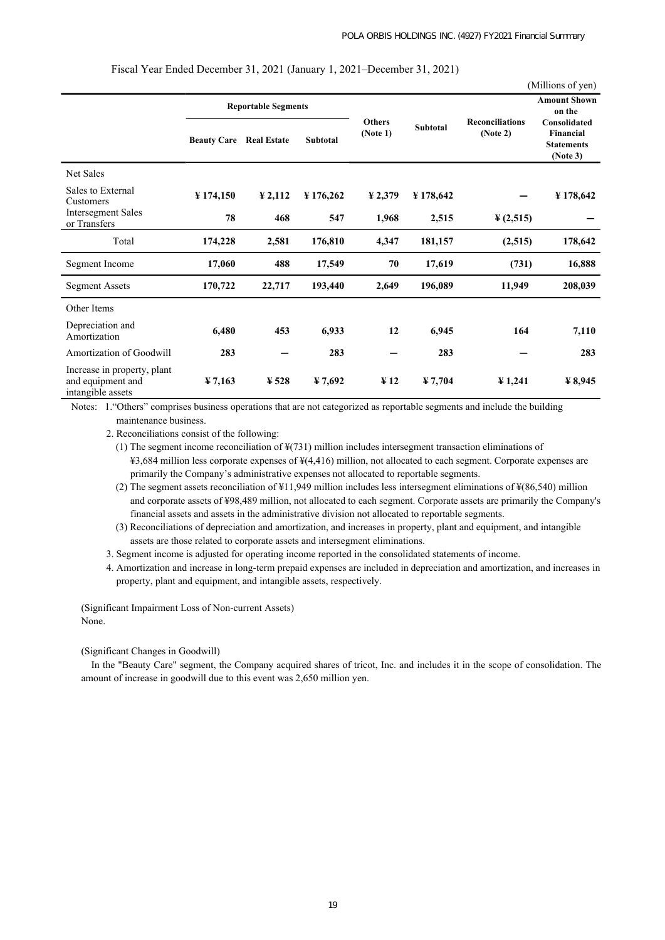|                                                                       |                       |                            |                 |                       |                 |                                    | (Millions of yen)                                 |
|-----------------------------------------------------------------------|-----------------------|----------------------------|-----------------|-----------------------|-----------------|------------------------------------|---------------------------------------------------|
|                                                                       |                       | <b>Reportable Segments</b> |                 | <b>Others</b>         | <b>Subtotal</b> | <b>Reconciliations</b><br>(Note 2) | <b>Amount Shown</b><br>on the<br>Consolidated     |
|                                                                       | <b>Beauty Care</b>    | <b>Real Estate</b>         | <b>Subtotal</b> | (Note 1)              |                 |                                    | <b>Financial</b><br><b>Statements</b><br>(Note 3) |
| Net Sales                                                             |                       |                            |                 |                       |                 |                                    |                                                   |
| Sales to External<br>Customers                                        | $\frac{1}{2}$ 174,150 | $\frac{1}{2}$ , 2, 112     | ¥ 176,262       | $\frac{1}{2}$ , 2,379 | ¥178,642        |                                    | ¥178,642                                          |
| <b>Intersegment Sales</b><br>or Transfers                             | 78                    | 468                        | 547             | 1,968                 | 2,515           | $\frac{1}{2}(2,515)$               |                                                   |
| Total                                                                 | 174,228               | 2,581                      | 176,810         | 4,347                 | 181,157         | (2,515)                            | 178,642                                           |
| Segment Income                                                        | 17,060                | 488                        | 17,549          | 70                    | 17,619          | (731)                              | 16,888                                            |
| <b>Segment Assets</b>                                                 | 170,722               | 22,717                     | 193,440         | 2,649                 | 196,089         | 11,949                             | 208,039                                           |
| Other Items                                                           |                       |                            |                 |                       |                 |                                    |                                                   |
| Depreciation and<br>Amortization                                      | 6,480                 | 453                        | 6,933           | 12                    | 6,945           | 164                                | 7,110                                             |
| Amortization of Goodwill                                              | 283                   |                            | 283             |                       | 283             |                                    | 283                                               |
| Increase in property, plant<br>and equipment and<br>intangible assets | $\frac{1}{2}$ 7,163   | $\frac{1}{2}$ 528          | ¥ 7,692         | $\frac{1}{2}$         | ¥ 7,704         | $\frac{1}{241}$                    | $\frac{1}{2}$ 8,945                               |

Fiscal Year Ended December 31, 2021 (January 1, 2021–December 31, 2021)

Notes: 1."Others" comprises business operations that are not categorized as reportable segments and include the building maintenance business.

2. Reconciliations consist of the following:

(1) The segment income reconciliation of ¥(731) million includes intersegment transaction eliminations of ¥3,684 million less corporate expenses of ¥(4,416) million, not allocated to each segment. Corporate expenses are primarily the Company's administrative expenses not allocated to reportable segments.

(2) The segment assets reconciliation of ¥11,949 million includes less intersegment eliminations of ¥(86,540) million and corporate assets of ¥98,489 million, not allocated to each segment. Corporate assets are primarily the Company's financial assets and assets in the administrative division not allocated to reportable segments.

(3) Reconciliations of depreciation and amortization, and increases in property, plant and equipment, and intangible assets are those related to corporate assets and intersegment eliminations.

3. Segment income is adjusted for operating income reported in the consolidated statements of income.

4. Amortization and increase in long-term prepaid expenses are included in depreciation and amortization, and increases in property, plant and equipment, and intangible assets, respectively.

(Significant Impairment Loss of Non-current Assets) None.

(Significant Changes in Goodwill)

In the "Beauty Care" segment, the Company acquired shares of tricot, Inc. and includes it in the scope of consolidation. The amount of increase in goodwill due to this event was 2,650 million yen.